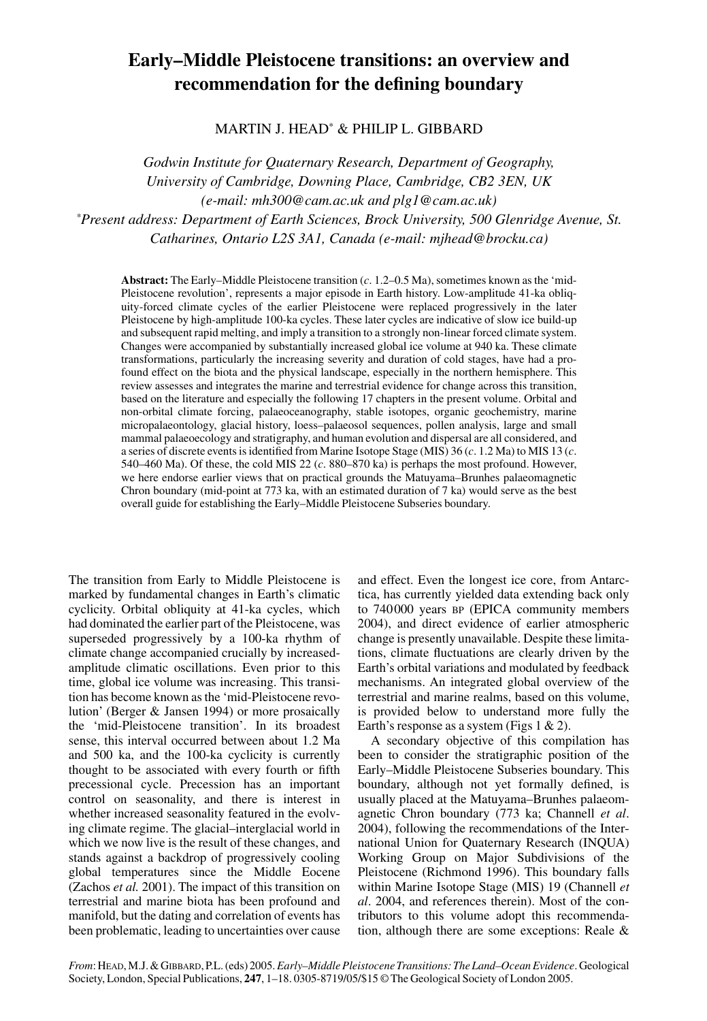# **Early–Middle Pleistocene transitions: an overview and recommendation for the defining boundary**

MARTIN J. HEAD\* & PHILIP L. GIBBARD

*Godwin Institute for Quaternary Research, Department of Geography, University of Cambridge, Downing Place, Cambridge, CB2 3EN, UK (e-mail: mh300@cam.ac.uk and plg1@cam.ac.uk) \*Present address: Department of Earth Sciences, Brock University, 500 Glenridge Avenue, St. Catharines, Ontario L2S 3A1, Canada (e-mail: mjhead@brocku.ca)*

**Abstract:** The Early–Middle Pleistocene transition (*c*. 1.2–0.5 Ma), sometimes known as the 'mid-Pleistocene revolution', represents a major episode in Earth history. Low-amplitude 41-ka obliquity-forced climate cycles of the earlier Pleistocene were replaced progressively in the later Pleistocene by high-amplitude 100-ka cycles. These later cycles are indicative of slow ice build-up and subsequent rapid melting, and imply a transition to a strongly non-linear forced climate system. Changes were accompanied by substantially increased global ice volume at 940 ka. These climate transformations, particularly the increasing severity and duration of cold stages, have had a profound effect on the biota and the physical landscape, especially in the northern hemisphere. This review assesses and integrates the marine and terrestrial evidence for change across this transition, based on the literature and especially the following 17 chapters in the present volume. Orbital and non-orbital climate forcing, palaeoceanography, stable isotopes, organic geochemistry, marine micropalaeontology, glacial history, loess–palaeosol sequences, pollen analysis, large and small mammal palaeoecology and stratigraphy, and human evolution and dispersal are all considered, and a series of discrete events is identified from Marine Isotope Stage (MIS) 36 (*c*. 1.2 Ma) to MIS 13 (*c*. 540–460 Ma). Of these, the cold MIS 22 (*c*. 880–870 ka) is perhaps the most profound. However, we here endorse earlier views that on practical grounds the Matuyama–Brunhes palaeomagnetic Chron boundary (mid-point at 773 ka, with an estimated duration of 7 ka) would serve as the best overall guide for establishing the Early–Middle Pleistocene Subseries boundary.

The transition from Early to Middle Pleistocene is marked by fundamental changes in Earth's climatic cyclicity. Orbital obliquity at 41-ka cycles, which had dominated the earlier part of the Pleistocene, was superseded progressively by a 100-ka rhythm of climate change accompanied crucially by increasedamplitude climatic oscillations. Even prior to this time, global ice volume was increasing. This transition has become known as the 'mid-Pleistocene revolution' (Berger & Jansen 1994) or more prosaically the 'mid-Pleistocene transition'. In its broadest sense, this interval occurred between about 1.2 Ma and 500 ka, and the 100-ka cyclicity is currently thought to be associated with every fourth or fifth precessional cycle. Precession has an important control on seasonality, and there is interest in whether increased seasonality featured in the evolving climate regime. The glacial–interglacial world in which we now live is the result of these changes, and stands against a backdrop of progressively cooling global temperatures since the Middle Eocene (Zachos *et al.* 2001). The impact of this transition on terrestrial and marine biota has been profound and manifold, but the dating and correlation of events has been problematic, leading to uncertainties over cause

and effect. Even the longest ice core, from Antarctica, has currently yielded data extending back only to 740000 years BP (EPICA community members 2004), and direct evidence of earlier atmospheric change is presently unavailable. Despite these limitations, climate fluctuations are clearly driven by the Earth's orbital variations and modulated by feedback mechanisms. An integrated global overview of the terrestrial and marine realms, based on this volume, is provided below to understand more fully the Earth's response as a system (Figs  $1 \& 2$ ).

A secondary objective of this compilation has been to consider the stratigraphic position of the Early–Middle Pleistocene Subseries boundary. This boundary, although not yet formally defined, is usually placed at the Matuyama–Brunhes palaeomagnetic Chron boundary (773 ka; Channell *et al*. 2004), following the recommendations of the International Union for Quaternary Research (INQUA) Working Group on Major Subdivisions of the Pleistocene (Richmond 1996). This boundary falls within Marine Isotope Stage (MIS) 19 (Channell *et al*. 2004, and references therein). Most of the contributors to this volume adopt this recommendation, although there are some exceptions: Reale &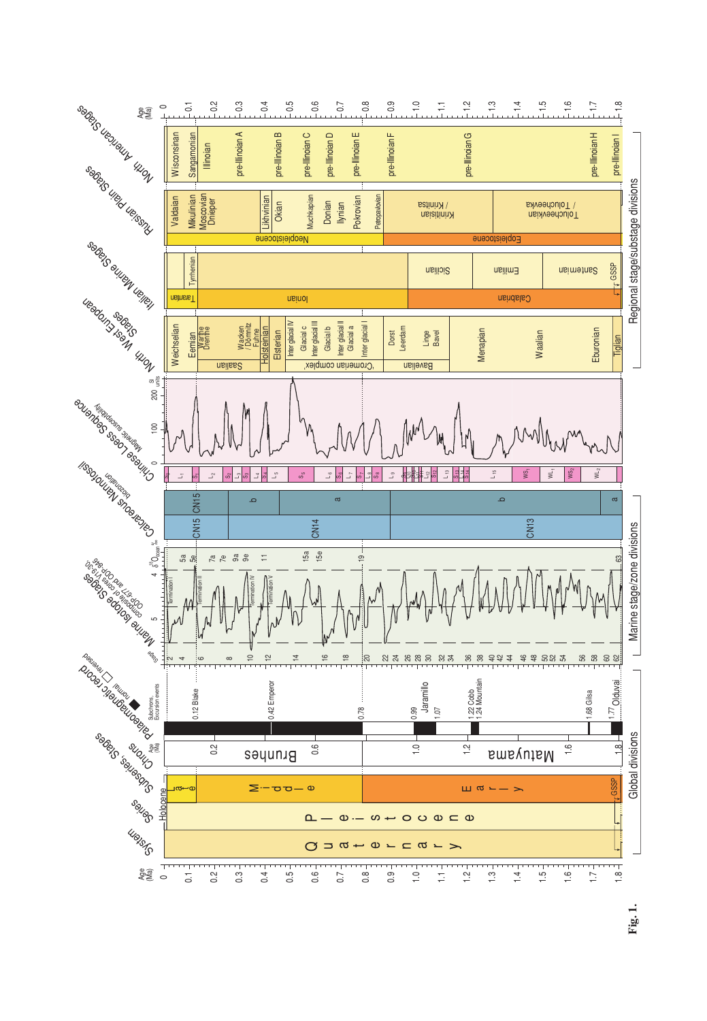

**Fig. 1.**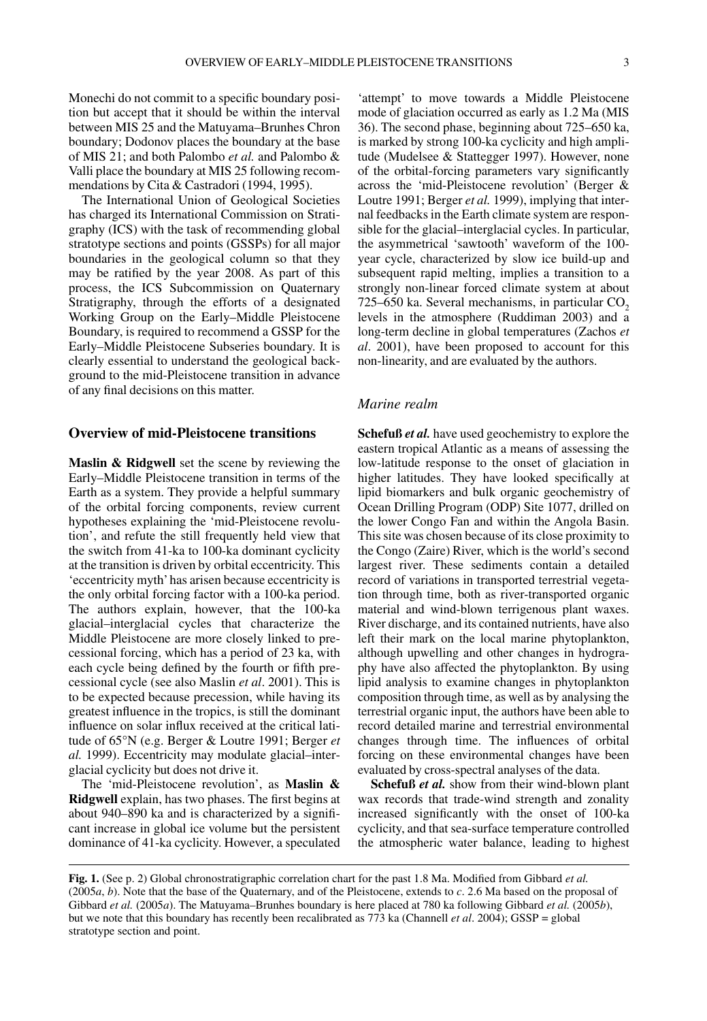Monechi do not commit to a specific boundary position but accept that it should be within the interval between MIS 25 and the Matuyama–Brunhes Chron boundary; Dodonov places the boundary at the base of MIS 21; and both Palombo *et al.* and Palombo & Valli place the boundary at MIS 25 following recommendations by Cita & Castradori (1994, 1995).

The International Union of Geological Societies has charged its International Commission on Stratigraphy (ICS) with the task of recommending global stratotype sections and points (GSSPs) for all major boundaries in the geological column so that they may be ratified by the year 2008. As part of this process, the ICS Subcommission on Quaternary Stratigraphy, through the efforts of a designated Working Group on the Early–Middle Pleistocene Boundary, is required to recommend a GSSP for the Early–Middle Pleistocene Subseries boundary. It is clearly essential to understand the geological background to the mid-Pleistocene transition in advance of any final decisions on this matter.

### **Overview of mid-Pleistocene transitions**

**Maslin & Ridgwell** set the scene by reviewing the Early–Middle Pleistocene transition in terms of the Earth as a system. They provide a helpful summary of the orbital forcing components, review current hypotheses explaining the 'mid-Pleistocene revolution', and refute the still frequently held view that the switch from 41-ka to 100-ka dominant cyclicity at the transition is driven by orbital eccentricity. This 'eccentricity myth'has arisen because eccentricity is the only orbital forcing factor with a 100-ka period. The authors explain, however, that the 100-ka glacial–interglacial cycles that characterize the Middle Pleistocene are more closely linked to precessional forcing, which has a period of 23 ka, with each cycle being defined by the fourth or fifth precessional cycle (see also Maslin *et al*. 2001). This is to be expected because precession, while having its greatest influence in the tropics, is still the dominant influence on solar influx received at the critical latitude of 65°N (e.g. Berger & Loutre 1991; Berger *et al.* 1999). Eccentricity may modulate glacial–interglacial cyclicity but does not drive it.

The 'mid-Pleistocene revolution', as **Maslin & Ridgwell** explain, has two phases. The first begins at about 940–890 ka and is characterized by a significant increase in global ice volume but the persistent dominance of 41-ka cyclicity. However, a speculated 'attempt' to move towards a Middle Pleistocene mode of glaciation occurred as early as 1.2 Ma (MIS 36). The second phase, beginning about 725–650 ka, is marked by strong 100-ka cyclicity and high amplitude (Mudelsee & Stattegger 1997). However, none of the orbital-forcing parameters vary significantly across the 'mid-Pleistocene revolution' (Berger & Loutre 1991; Berger *et al.* 1999), implying that internal feedbacks in the Earth climate system are responsible for the glacial–interglacial cycles. In particular, the asymmetrical 'sawtooth' waveform of the 100 year cycle, characterized by slow ice build-up and subsequent rapid melting, implies a transition to a strongly non-linear forced climate system at about  $725-650$  ka. Several mechanisms, in particular  $CO<sub>2</sub>$ levels in the atmosphere (Ruddiman 2003) and a long-term decline in global temperatures (Zachos *et al*. 2001), have been proposed to account for this non-linearity, and are evaluated by the authors.

#### *Marine realm*

**Schefuß** *et al.* have used geochemistry to explore the eastern tropical Atlantic as a means of assessing the low-latitude response to the onset of glaciation in higher latitudes. They have looked specifically at lipid biomarkers and bulk organic geochemistry of Ocean Drilling Program (ODP) Site 1077, drilled on the lower Congo Fan and within the Angola Basin. This site was chosen because of its close proximity to the Congo (Zaire) River, which is the world's second largest river. These sediments contain a detailed record of variations in transported terrestrial vegetation through time, both as river-transported organic material and wind-blown terrigenous plant waxes. River discharge, and its contained nutrients, have also left their mark on the local marine phytoplankton, although upwelling and other changes in hydrography have also affected the phytoplankton. By using lipid analysis to examine changes in phytoplankton composition through time, as well as by analysing the terrestrial organic input, the authors have been able to record detailed marine and terrestrial environmental changes through time. The influences of orbital forcing on these environmental changes have been evaluated by cross-spectral analyses of the data.

**Schefuß** *et al.* show from their wind-blown plant wax records that trade-wind strength and zonality increased significantly with the onset of 100-ka cyclicity, and that sea-surface temperature controlled the atmospheric water balance, leading to highest

**Fig. 1.** (See p. 2) Global chronostratigraphic correlation chart for the past 1.8 Ma. Modified from Gibbard *et al.* (2005*a*, *b*). Note that the base of the Quaternary, and of the Pleistocene, extends to *c*. 2.6 Ma based on the proposal of Gibbard *et al.* (2005*a*). The Matuyama–Brunhes boundary is here placed at 780 ka following Gibbard *et al.* (2005*b*), but we note that this boundary has recently been recalibrated as 773 ka (Channell *et al*. 2004); GSSP = global stratotype section and point.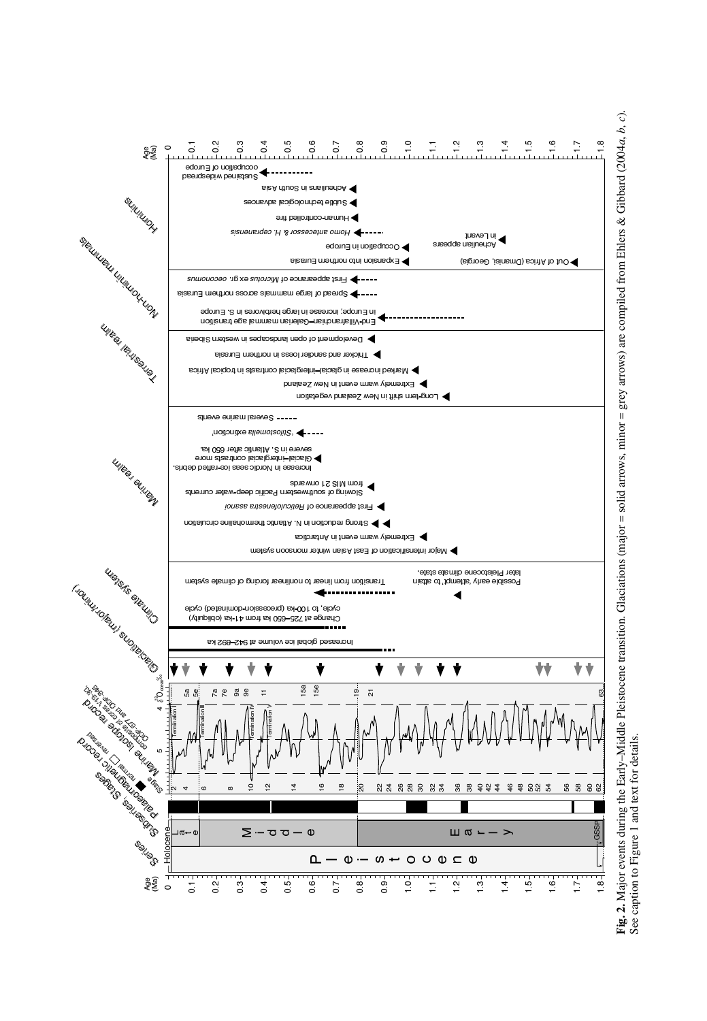

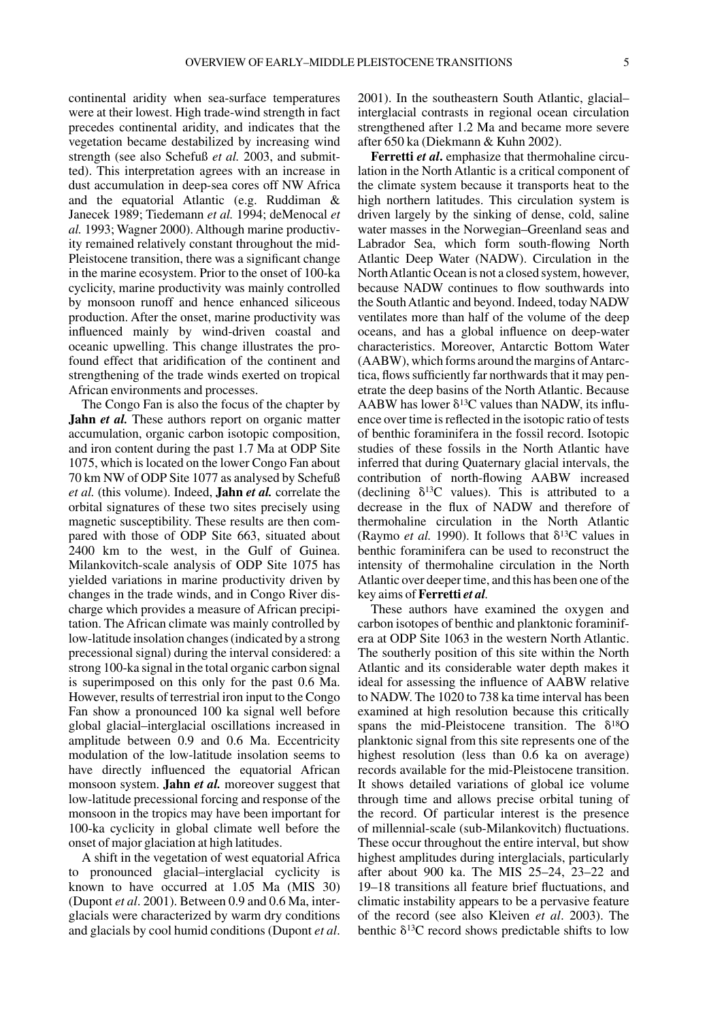continental aridity when sea-surface temperatures were at their lowest. High trade-wind strength in fact precedes continental aridity, and indicates that the vegetation became destabilized by increasing wind strength (see also Schefuß *et al.* 2003, and submitted). This interpretation agrees with an increase in dust accumulation in deep-sea cores off NW Africa and the equatorial Atlantic (e.g. Ruddiman & Janecek 1989; Tiedemann *et al.* 1994; deMenocal *et al.* 1993; Wagner 2000). Although marine productivity remained relatively constant throughout the mid-Pleistocene transition, there was a significant change in the marine ecosystem. Prior to the onset of 100-ka cyclicity, marine productivity was mainly controlled by monsoon runoff and hence enhanced siliceous production. After the onset, marine productivity was influenced mainly by wind-driven coastal and oceanic upwelling. This change illustrates the profound effect that aridification of the continent and strengthening of the trade winds exerted on tropical African environments and processes.

The Congo Fan is also the focus of the chapter by **Jahn** *et al.* These authors report on organic matter accumulation, organic carbon isotopic composition, and iron content during the past 1.7 Ma at ODP Site 1075, which is located on the lower Congo Fan about 70 km NW of ODP Site 1077 as analysed by Schefuß *et al.* (this volume). Indeed, **Jahn** *et al.* correlate the orbital signatures of these two sites precisely using magnetic susceptibility. These results are then compared with those of ODP Site 663, situated about 2400 km to the west, in the Gulf of Guinea. Milankovitch-scale analysis of ODP Site 1075 has yielded variations in marine productivity driven by changes in the trade winds, and in Congo River discharge which provides a measure of African precipitation. The African climate was mainly controlled by low-latitude insolation changes (indicated by a strong precessional signal) during the interval considered: a strong 100-ka signal in the total organic carbon signal is superimposed on this only for the past 0.6 Ma. However, results of terrestrial iron input to the Congo Fan show a pronounced 100 ka signal well before global glacial–interglacial oscillations increased in amplitude between 0.9 and 0.6 Ma. Eccentricity modulation of the low-latitude insolation seems to have directly influenced the equatorial African monsoon system. **Jahn** *et al.* moreover suggest that low-latitude precessional forcing and response of the monsoon in the tropics may have been important for 100-ka cyclicity in global climate well before the onset of major glaciation at high latitudes.

A shift in the vegetation of west equatorial Africa to pronounced glacial–interglacial cyclicity is known to have occurred at 1.05 Ma (MIS 30) (Dupont *et al*. 2001). Between 0.9 and 0.6 Ma, interglacials were characterized by warm dry conditions and glacials by cool humid conditions (Dupont *et al*. 2001). In the southeastern South Atlantic, glacial– interglacial contrasts in regional ocean circulation strengthened after 1.2 Ma and became more severe after 650 ka (Diekmann & Kuhn 2002).

**Ferretti** *et al***.** emphasize that thermohaline circulation in the North Atlantic is a critical component of the climate system because it transports heat to the high northern latitudes. This circulation system is driven largely by the sinking of dense, cold, saline water masses in the Norwegian–Greenland seas and Labrador Sea, which form south-flowing North Atlantic Deep Water (NADW). Circulation in the NorthAtlantic Ocean is not a closed system, however, because NADW continues to flow southwards into the South Atlantic and beyond. Indeed, today NADW ventilates more than half of the volume of the deep oceans, and has a global influence on deep-water characteristics. Moreover, Antarctic Bottom Water  $(AABW)$ , which forms around the margins of Antarctica, flows sufficiently far northwards that it may penetrate the deep basins of the North Atlantic. Because AABW has lower  $\delta^{13}$ C values than NADW, its influence over time is reflected in the isotopic ratio of tests of benthic foraminifera in the fossil record. Isotopic studies of these fossils in the North Atlantic have inferred that during Quaternary glacial intervals, the contribution of north-flowing AABW increased (declining  $\delta^{13}$ C values). This is attributed to a decrease in the flux of NADW and therefore of thermohaline circulation in the North Atlantic (Raymo *et al.* 1990). It follows that  $\delta^{13}$ C values in benthic foraminifera can be used to reconstruct the intensity of thermohaline circulation in the North Atlantic over deeper time, and this has been one of the key aims of **Ferretti** *et al.*

These authors have examined the oxygen and carbon isotopes of benthic and planktonic foraminifera at ODP Site 1063 in the western North Atlantic. The southerly position of this site within the North Atlantic and its considerable water depth makes it ideal for assessing the influence of AABW relative to NADW. The 1020 to 738 ka time interval has been examined at high resolution because this critically spans the mid-Pleistocene transition. The  $\delta^{18}O$ planktonic signal from this site represents one of the highest resolution (less than 0.6 ka on average) records available for the mid-Pleistocene transition. It shows detailed variations of global ice volume through time and allows precise orbital tuning of the record. Of particular interest is the presence of millennial-scale (sub-Milankovitch) fluctuations. These occur throughout the entire interval, but show highest amplitudes during interglacials, particularly after about 900 ka. The MIS 25–24, 23–22 and 19–18 transitions all feature brief fluctuations, and climatic instability appears to be a pervasive feature of the record (see also Kleiven *et al*. 2003). The benthic  $\delta^{13}$ C record shows predictable shifts to low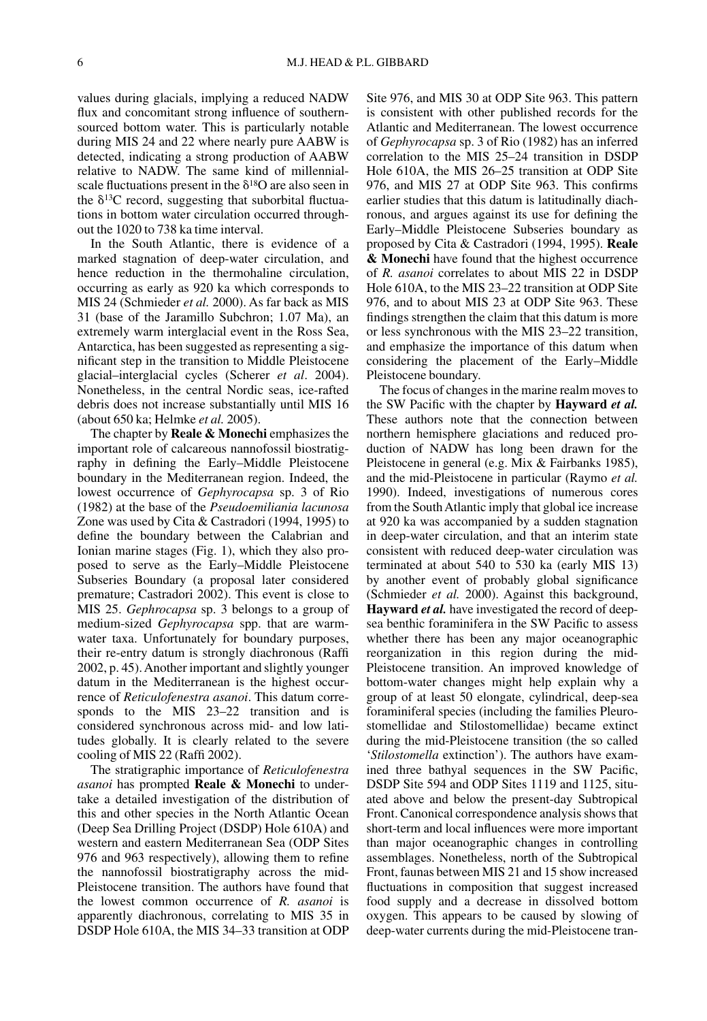values during glacials, implying a reduced NADW flux and concomitant strong influence of southernsourced bottom water. This is particularly notable during MIS 24 and 22 where nearly pure AABW is detected, indicating a strong production of AABW relative to NADW. The same kind of millennialscale fluctuations present in the  $\delta^{18}$ O are also seen in the  $\delta^{13}$ C record, suggesting that suborbital fluctuations in bottom water circulation occurred throughout the 1020 to 738 ka time interval.

In the South Atlantic, there is evidence of a marked stagnation of deep-water circulation, and hence reduction in the thermohaline circulation, occurring as early as 920 ka which corresponds to MIS 24 (Schmieder *et al.* 2000). As far back as MIS 31 (base of the Jaramillo Subchron; 1.07 Ma), an extremely warm interglacial event in the Ross Sea, Antarctica, has been suggested as representing a significant step in the transition to Middle Pleistocene glacial–interglacial cycles (Scherer *et al*. 2004). Nonetheless, in the central Nordic seas, ice-rafted debris does not increase substantially until MIS 16 (about 650 ka; Helmke *et al.* 2005).

The chapter by **Reale & Monechi** emphasizes the important role of calcareous nannofossil biostratigraphy in defining the Early–Middle Pleistocene boundary in the Mediterranean region. Indeed, the lowest occurrence of *Gephyrocapsa* sp. 3 of Rio (1982) at the base of the *Pseudoemiliania lacunosa* Zone was used by Cita & Castradori (1994, 1995) to define the boundary between the Calabrian and Ionian marine stages (Fig. 1), which they also proposed to serve as the Early–Middle Pleistocene Subseries Boundary (a proposal later considered premature; Castradori 2002). This event is close to MIS 25. *Gephrocapsa* sp. 3 belongs to a group of medium-sized *Gephyrocapsa* spp. that are warmwater taxa. Unfortunately for boundary purposes, their re-entry datum is strongly diachronous (Raffi 2002, p. 45). Another important and slightly younger datum in the Mediterranean is the highest occurrence of *Reticulofenestra asanoi*. This datum corresponds to the MIS 23–22 transition and is considered synchronous across mid- and low latitudes globally. It is clearly related to the severe cooling of MIS 22 (Raffi 2002).

The stratigraphic importance of *Reticulofenestra asanoi* has prompted **Reale & Monechi** to undertake a detailed investigation of the distribution of this and other species in the North Atlantic Ocean (Deep Sea Drilling Project (DSDP) Hole 610A) and western and eastern Mediterranean Sea (ODP Sites 976 and 963 respectively), allowing them to refine the nannofossil biostratigraphy across the mid-Pleistocene transition. The authors have found that the lowest common occurrence of *R. asanoi* is apparently diachronous, correlating to MIS 35 in DSDP Hole 610A, the MIS 34–33 transition at ODP

Site 976, and MIS 30 at ODP Site 963. This pattern is consistent with other published records for the Atlantic and Mediterranean. The lowest occurrence of *Gephyrocapsa* sp. 3 of Rio (1982) has an inferred correlation to the MIS 25–24 transition in DSDP Hole 610A, the MIS 26–25 transition at ODP Site 976, and MIS 27 at ODP Site 963. This confirms earlier studies that this datum is latitudinally diachronous, and argues against its use for defining the Early–Middle Pleistocene Subseries boundary as proposed by Cita & Castradori (1994, 1995). **Reale & Monechi** have found that the highest occurrence of *R. asanoi* correlates to about MIS 22 in DSDP Hole 610A, to the MIS 23–22 transition at ODP Site 976, and to about MIS 23 at ODP Site 963. These findings strengthen the claim that this datum is more or less synchronous with the MIS 23–22 transition, and emphasize the importance of this datum when considering the placement of the Early–Middle Pleistocene boundary.

The focus of changes in the marine realm moves to the SW Pacific with the chapter by **Hayward** *et al.* These authors note that the connection between northern hemisphere glaciations and reduced production of NADW has long been drawn for the Pleistocene in general (e.g. Mix & Fairbanks 1985), and the mid-Pleistocene in particular (Raymo *et al.* 1990). Indeed, investigations of numerous cores from the South Atlantic imply that global ice increase at 920 ka was accompanied by a sudden stagnation in deep-water circulation, and that an interim state consistent with reduced deep-water circulation was terminated at about 540 to 530 ka (early MIS 13) by another event of probably global significance (Schmieder *et al.* 2000). Against this background, **Hayward** *et al.* have investigated the record of deepsea benthic foraminifera in the SW Pacific to assess whether there has been any major oceanographic reorganization in this region during the mid-Pleistocene transition. An improved knowledge of bottom-water changes might help explain why a group of at least 50 elongate, cylindrical, deep-sea foraminiferal species (including the families Pleurostomellidae and Stilostomellidae) became extinct during the mid-Pleistocene transition (the so called '*Stilostomella* extinction'). The authors have examined three bathyal sequences in the SW Pacific, DSDP Site 594 and ODP Sites 1119 and 1125, situated above and below the present-day Subtropical Front. Canonical correspondence analysis shows that short-term and local influences were more important than major oceanographic changes in controlling assemblages. Nonetheless, north of the Subtropical Front, faunas between MIS 21 and 15 show increased fluctuations in composition that suggest increased food supply and a decrease in dissolved bottom oxygen. This appears to be caused by slowing of deep-water currents during the mid-Pleistocene tran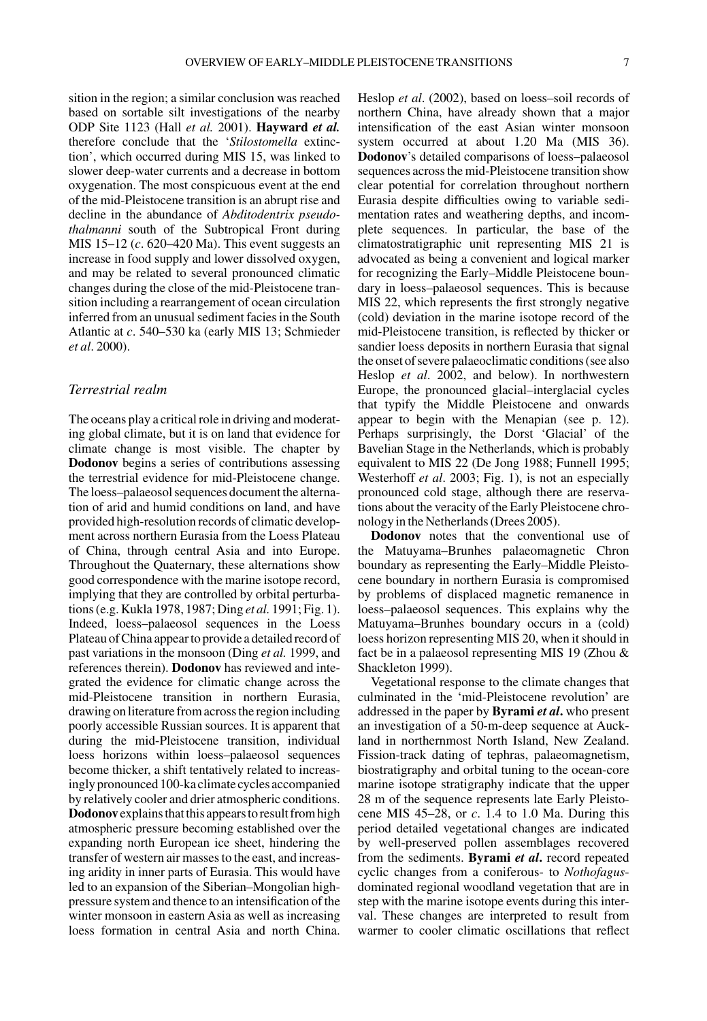sition in the region; a similar conclusion was reached based on sortable silt investigations of the nearby ODP Site 1123 (Hall *et al.* 2001). **Hayward** *et al.* therefore conclude that the '*Stilostomella* extinction', which occurred during MIS 15, was linked to slower deep-water currents and a decrease in bottom oxygenation. The most conspicuous event at the end of the mid-Pleistocene transition is an abrupt rise and decline in the abundance of *Abditodentrix pseudothalmanni* south of the Subtropical Front during MIS 15–12 (*c*. 620–420 Ma). This event suggests an increase in food supply and lower dissolved oxygen, and may be related to several pronounced climatic changes during the close of the mid-Pleistocene transition including a rearrangement of ocean circulation inferred from an unusual sediment facies in the South Atlantic at *c*. 540–530 ka (early MIS 13; Schmieder *et al*. 2000).

## *Terrestrial realm*

The oceans play a critical role in driving and moderating global climate, but it is on land that evidence for climate change is most visible. The chapter by **Dodonov** begins a series of contributions assessing the terrestrial evidence for mid-Pleistocene change. The loess–palaeosol sequences document the alternation of arid and humid conditions on land, and have provided high-resolution records of climatic development across northern Eurasia from the Loess Plateau of China, through central Asia and into Europe. Throughout the Quaternary, these alternations show good correspondence with the marine isotope record, implying that they are controlled by orbital perturbations (e.g. Kukla 1978, 1987; Ding *et al.* 1991; Fig. 1). Indeed, loess–palaeosol sequences in the Loess Plateau of China appear to provide a detailed record of past variations in the monsoon (Ding *et al.* 1999, and references therein). **Dodonov** has reviewed and integrated the evidence for climatic change across the mid-Pleistocene transition in northern Eurasia, drawing on literature from across the region including poorly accessible Russian sources. It is apparent that during the mid-Pleistocene transition, individual loess horizons within loess–palaeosol sequences become thicker, a shift tentatively related to increasingly pronounced 100-kaclimate cycles accompanied by relatively cooler and drier atmospheric conditions. **Dodonov** explains that this appears to result from high atmospheric pressure becoming established over the expanding north European ice sheet, hindering the transfer of western air masses to the east, and increasing aridity in inner parts of Eurasia. This would have led to an expansion of the Siberian–Mongolian highpressure system and thence to an intensification of the winter monsoon in eastern Asia as well as increasing loess formation in central Asia and north China.

Heslop *et al*. (2002), based on loess–soil records of northern China, have already shown that a major intensification of the east Asian winter monsoon system occurred at about 1.20 Ma (MIS 36). **Dodonov**'s detailed comparisons of loess–palaeosol sequences across the mid-Pleistocene transition show clear potential for correlation throughout northern Eurasia despite difficulties owing to variable sedimentation rates and weathering depths, and incomplete sequences. In particular, the base of the climatostratigraphic unit representing MIS 21 is advocated as being a convenient and logical marker for recognizing the Early–Middle Pleistocene boundary in loess–palaeosol sequences. This is because MIS 22, which represents the first strongly negative (cold) deviation in the marine isotope record of the mid-Pleistocene transition, is reflected by thicker or sandier loess deposits in northern Eurasia that signal the onset of severe palaeoclimatic conditions (see also Heslop *et al*. 2002, and below). In northwestern Europe, the pronounced glacial–interglacial cycles that typify the Middle Pleistocene and onwards appear to begin with the Menapian (see p. 12). Perhaps surprisingly, the Dorst 'Glacial' of the Bavelian Stage in the Netherlands, which is probably equivalent to MIS 22 (De Jong 1988; Funnell 1995; Westerhoff *et al*. 2003; Fig. 1), is not an especially pronounced cold stage, although there are reservations about the veracity of the Early Pleistocene chronology in the Netherlands (Drees 2005).

**Dodonov** notes that the conventional use of the Matuyama–Brunhes palaeomagnetic Chron boundary as representing the Early–Middle Pleistocene boundary in northern Eurasia is compromised by problems of displaced magnetic remanence in loess–palaeosol sequences. This explains why the Matuyama–Brunhes boundary occurs in a (cold) loess horizon representing MIS 20, when it should in fact be in a palaeosol representing MIS 19 (Zhou & Shackleton 1999).

Vegetational response to the climate changes that culminated in the 'mid-Pleistocene revolution' are addressed in the paper by **Byrami** *et al***.** who present an investigation of a 50-m-deep sequence at Auckland in northernmost North Island, New Zealand. Fission-track dating of tephras, palaeomagnetism, biostratigraphy and orbital tuning to the ocean-core marine isotope stratigraphy indicate that the upper 28 m of the sequence represents late Early Pleistocene MIS 45–28, or *c*. 1.4 to 1.0 Ma. During this period detailed vegetational changes are indicated by well-preserved pollen assemblages recovered from the sediments. **Byrami** *et al***.** record repeated cyclic changes from a coniferous- to *Nothofagus*dominated regional woodland vegetation that are in step with the marine isotope events during this interval. These changes are interpreted to result from warmer to cooler climatic oscillations that reflect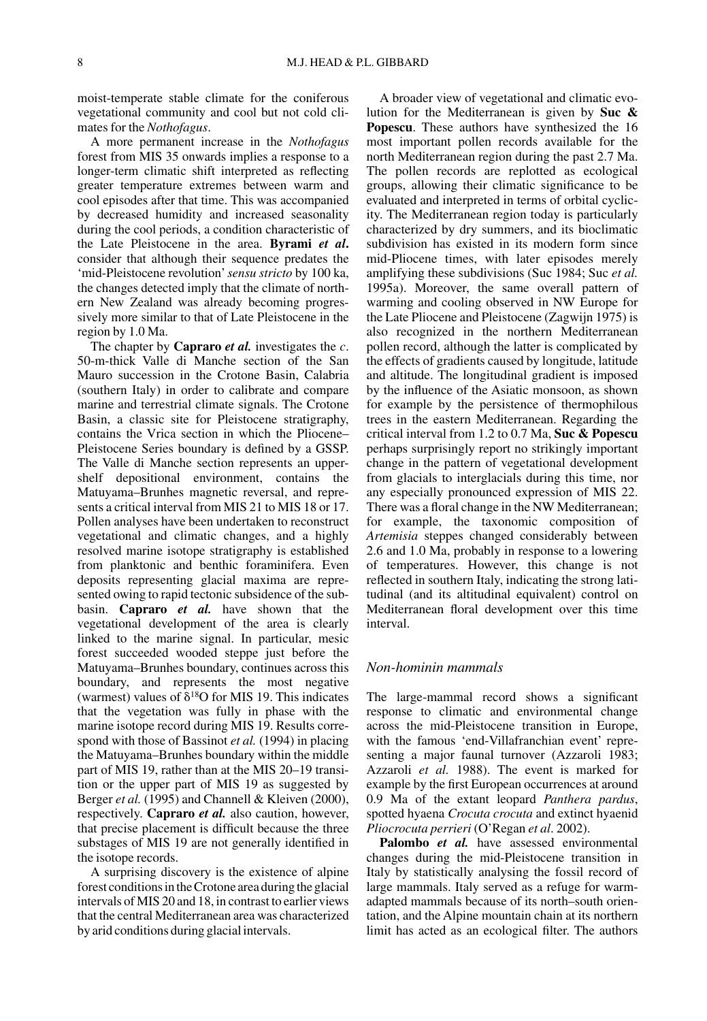moist-temperate stable climate for the coniferous vegetational community and cool but not cold climates for the *Nothofagus*.

A more permanent increase in the *Nothofagus* forest from MIS 35 onwards implies a response to a longer-term climatic shift interpreted as reflecting greater temperature extremes between warm and cool episodes after that time. This was accompanied by decreased humidity and increased seasonality during the cool periods, a condition characteristic of the Late Pleistocene in the area. **Byrami** *et al***.** consider that although their sequence predates the 'mid-Pleistocene revolution'*sensu stricto* by 100 ka, the changes detected imply that the climate of northern New Zealand was already becoming progressively more similar to that of Late Pleistocene in the region by 1.0 Ma.

The chapter by **Capraro** *et al.* investigates the *c*. 50-m-thick Valle di Manche section of the San Mauro succession in the Crotone Basin, Calabria (southern Italy) in order to calibrate and compare marine and terrestrial climate signals. The Crotone Basin, a classic site for Pleistocene stratigraphy, contains the Vrica section in which the Pliocene– Pleistocene Series boundary is defined by a GSSP. The Valle di Manche section represents an uppershelf depositional environment, contains the Matuyama–Brunhes magnetic reversal, and represents a critical interval from MIS 21 to MIS 18 or 17. Pollen analyses have been undertaken to reconstruct vegetational and climatic changes, and a highly resolved marine isotope stratigraphy is established from planktonic and benthic foraminifera. Even deposits representing glacial maxima are represented owing to rapid tectonic subsidence of the subbasin. **Capraro** *et al.* have shown that the vegetational development of the area is clearly linked to the marine signal. In particular, mesic forest succeeded wooded steppe just before the Matuyama–Brunhes boundary, continues across this boundary, and represents the most negative (warmest) values of  $\delta^{18}O$  for MIS 19. This indicates that the vegetation was fully in phase with the marine isotope record during MIS 19. Results correspond with those of Bassinot *et al.* (1994) in placing the Matuyama–Brunhes boundary within the middle part of MIS 19, rather than at the MIS 20–19 transition or the upper part of MIS 19 as suggested by Berger *et al.* (1995) and Channell & Kleiven (2000), respectively. **Capraro** *et al.* also caution, however, that precise placement is difficult because the three substages of MIS 19 are not generally identified in the isotope records.

A surprising discovery is the existence of alpine forest conditions in the Crotone area during the glacial intervals of MIS 20 and 18, in contrast to earlier views that the central Mediterranean area was characterized by arid conditions during glacial intervals.

A broader view of vegetational and climatic evolution for the Mediterranean is given by **Suc & Popescu**. These authors have synthesized the 16 most important pollen records available for the north Mediterranean region during the past 2.7 Ma. The pollen records are replotted as ecological groups, allowing their climatic significance to be evaluated and interpreted in terms of orbital cyclicity. The Mediterranean region today is particularly characterized by dry summers, and its bioclimatic subdivision has existed in its modern form since mid-Pliocene times, with later episodes merely amplifying these subdivisions (Suc 1984; Suc *et al.* 1995a). Moreover, the same overall pattern of warming and cooling observed in NW Europe for the Late Pliocene and Pleistocene (Zagwijn 1975) is also recognized in the northern Mediterranean pollen record, although the latter is complicated by the effects of gradients caused by longitude, latitude and altitude. The longitudinal gradient is imposed by the influence of the Asiatic monsoon, as shown for example by the persistence of thermophilous trees in the eastern Mediterranean. Regarding the critical interval from 1.2 to 0.7 Ma, **Suc & Popescu** perhaps surprisingly report no strikingly important change in the pattern of vegetational development from glacials to interglacials during this time, nor any especially pronounced expression of MIS 22. There was a floral change in the NW Mediterranean; for example, the taxonomic composition of *Artemisia* steppes changed considerably between 2.6 and 1.0 Ma, probably in response to a lowering of temperatures. However, this change is not reflected in southern Italy, indicating the strong latitudinal (and its altitudinal equivalent) control on Mediterranean floral development over this time interval.

#### *Non-hominin mammals*

The large-mammal record shows a significant response to climatic and environmental change across the mid-Pleistocene transition in Europe, with the famous 'end-Villafranchian event' representing a major faunal turnover (Azzaroli 1983; Azzaroli *et al.* 1988). The event is marked for example by the first European occurrences at around 0.9 Ma of the extant leopard *Panthera pardus*, spotted hyaena *Crocuta crocuta* and extinct hyaenid *Pliocrocuta perrieri* (O'Regan *et al*. 2002).

**Palombo** *et al.* have assessed environmental changes during the mid-Pleistocene transition in Italy by statistically analysing the fossil record of large mammals. Italy served as a refuge for warmadapted mammals because of its north–south orientation, and the Alpine mountain chain at its northern limit has acted as an ecological filter. The authors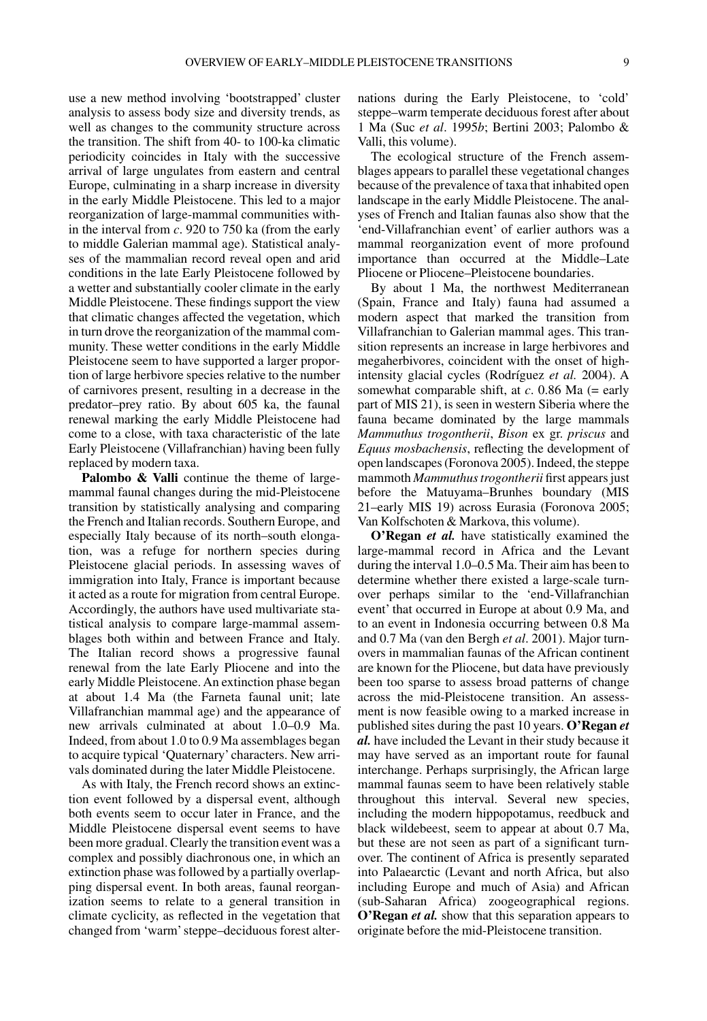use a new method involving 'bootstrapped' cluster analysis to assess body size and diversity trends, as well as changes to the community structure across the transition. The shift from 40- to 100-ka climatic periodicity coincides in Italy with the successive arrival of large ungulates from eastern and central Europe, culminating in a sharp increase in diversity in the early Middle Pleistocene. This led to a major reorganization of large-mammal communities within the interval from *c*. 920 to 750 ka (from the early to middle Galerian mammal age). Statistical analyses of the mammalian record reveal open and arid conditions in the late Early Pleistocene followed by a wetter and substantially cooler climate in the early Middle Pleistocene. These findings support the view that climatic changes affected the vegetation, which in turn drove the reorganization of the mammal community. These wetter conditions in the early Middle Pleistocene seem to have supported a larger proportion of large herbivore species relative to the number of carnivores present, resulting in a decrease in the predator–prey ratio. By about 605 ka, the faunal renewal marking the early Middle Pleistocene had come to a close, with taxa characteristic of the late Early Pleistocene (Villafranchian) having been fully replaced by modern taxa.

Palombo & Valli continue the theme of largemammal faunal changes during the mid-Pleistocene transition by statistically analysing and comparing the French and Italian records. Southern Europe, and especially Italy because of its north–south elongation, was a refuge for northern species during Pleistocene glacial periods. In assessing waves of immigration into Italy, France is important because it acted as a route for migration from central Europe. Accordingly, the authors have used multivariate statistical analysis to compare large-mammal assemblages both within and between France and Italy. The Italian record shows a progressive faunal renewal from the late Early Pliocene and into the early Middle Pleistocene. An extinction phase began at about 1.4 Ma (the Farneta faunal unit; late Villafranchian mammal age) and the appearance of new arrivals culminated at about 1.0–0.9 Ma. Indeed, from about 1.0 to 0.9 Ma assemblages began to acquire typical 'Quaternary' characters. New arrivals dominated during the later Middle Pleistocene.

As with Italy, the French record shows an extinction event followed by a dispersal event, although both events seem to occur later in France, and the Middle Pleistocene dispersal event seems to have been more gradual. Clearly the transition event was a complex and possibly diachronous one, in which an extinction phase was followed by a partially overlapping dispersal event. In both areas, faunal reorganization seems to relate to a general transition in climate cyclicity, as reflected in the vegetation that changed from 'warm' steppe–deciduous forest alternations during the Early Pleistocene, to 'cold' steppe–warm temperate deciduous forest after about 1 Ma (Suc *et al*. 1995*b*; Bertini 2003; Palombo & Valli, this volume).

The ecological structure of the French assemblages appears to parallel these vegetational changes because of the prevalence of taxa that inhabited open landscape in the early Middle Pleistocene. The analyses of French and Italian faunas also show that the 'end-Villafranchian event' of earlier authors was a mammal reorganization event of more profound importance than occurred at the Middle–Late Pliocene or Pliocene–Pleistocene boundaries.

By about 1 Ma, the northwest Mediterranean (Spain, France and Italy) fauna had assumed a modern aspect that marked the transition from Villafranchian to Galerian mammal ages. This transition represents an increase in large herbivores and megaherbivores, coincident with the onset of highintensity glacial cycles (Rodríguez *et al.* 2004). A somewhat comparable shift, at *c*. 0.86 Ma (= early part of MIS 21), is seen in western Siberia where the fauna became dominated by the large mammals *Mammuthus trogontherii*, *Bison* ex gr. *priscus* and *Equus mosbachensis*, reflecting the development of open landscapes (Foronova 2005). Indeed, the steppe mammoth *Mammuthus trogontherii* first appears just before the Matuyama–Brunhes boundary (MIS 21–early MIS 19) across Eurasia (Foronova 2005; Van Kolfschoten & Markova, this volume).

**O'Regan** *et al.* have statistically examined the large-mammal record in Africa and the Levant during the interval 1.0–0.5 Ma. Their aim has been to determine whether there existed a large-scale turnover perhaps similar to the 'end-Villafranchian event' that occurred in Europe at about 0.9 Ma, and to an event in Indonesia occurring between 0.8 Ma and 0.7 Ma (van den Bergh *et al*. 2001). Major turnovers in mammalian faunas of the African continent are known for the Pliocene, but data have previously been too sparse to assess broad patterns of change across the mid-Pleistocene transition. An assessment is now feasible owing to a marked increase in published sites during the past 10 years. **O'Regan** *et al.* have included the Levant in their study because it may have served as an important route for faunal interchange. Perhaps surprisingly, the African large mammal faunas seem to have been relatively stable throughout this interval. Several new species, including the modern hippopotamus, reedbuck and black wildebeest, seem to appear at about 0.7 Ma, but these are not seen as part of a significant turnover. The continent of Africa is presently separated into Palaearctic (Levant and north Africa, but also including Europe and much of Asia) and African (sub-Saharan Africa) zoogeographical regions. **O'Regan** *et al.* show that this separation appears to originate before the mid-Pleistocene transition.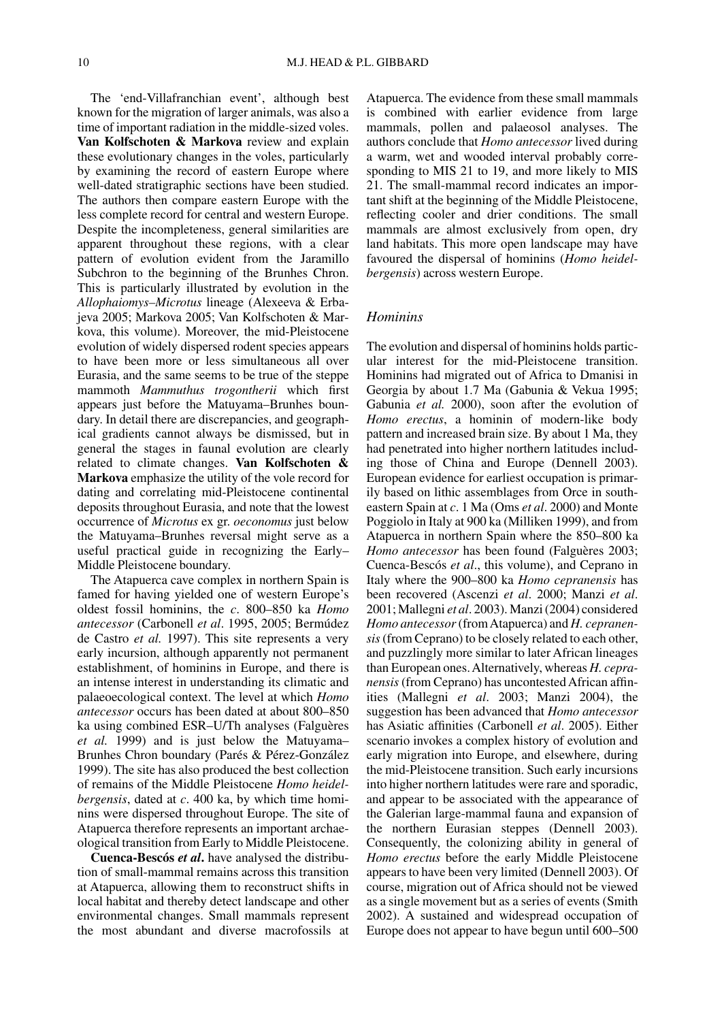The 'end-Villafranchian event', although best known for the migration of larger animals, was also a time of important radiation in the middle-sized voles. **Van Kolfschoten & Markova** review and explain these evolutionary changes in the voles, particularly by examining the record of eastern Europe where well-dated stratigraphic sections have been studied. The authors then compare eastern Europe with the less complete record for central and western Europe. Despite the incompleteness, general similarities are apparent throughout these regions, with a clear pattern of evolution evident from the Jaramillo Subchron to the beginning of the Brunhes Chron. This is particularly illustrated by evolution in the *Allophaiomys–Microtus* lineage (Alexeeva & Erbajeva 2005; Markova 2005; Van Kolfschoten & Markova, this volume). Moreover, the mid-Pleistocene evolution of widely dispersed rodent species appears to have been more or less simultaneous all over Eurasia, and the same seems to be true of the steppe mammoth *Mammuthus trogontherii* which first appears just before the Matuyama–Brunhes boundary. In detail there are discrepancies, and geographical gradients cannot always be dismissed, but in general the stages in faunal evolution are clearly related to climate changes. **Van Kolfschoten & Markova** emphasize the utility of the vole record for dating and correlating mid-Pleistocene continental deposits throughout Eurasia, and note that the lowest occurrence of *Microtus* ex gr. *oeconomus* just below the Matuyama–Brunhes reversal might serve as a useful practical guide in recognizing the Early– Middle Pleistocene boundary.

The Atapuerca cave complex in northern Spain is famed for having yielded one of western Europe's oldest fossil hominins, the *c*. 800–850 ka *Homo antecessor* (Carbonell *et al*. 1995, 2005; Bermúdez de Castro *et al.* 1997). This site represents a very early incursion, although apparently not permanent establishment, of hominins in Europe, and there is an intense interest in understanding its climatic and palaeoecological context. The level at which *Homo antecessor* occurs has been dated at about 800–850 ka using combined ESR–U/Th analyses (Falguères *et al.* 1999) and is just below the Matuyama– Brunhes Chron boundary (Parés & Pérez-González 1999). The site has also produced the best collection of remains of the Middle Pleistocene *Homo heidelbergensis*, dated at *c*. 400 ka, by which time hominins were dispersed throughout Europe. The site of Atapuerca therefore represents an important archaeological transition from Early to Middle Pleistocene.

**Cuenca-Bescós** *et al***.** have analysed the distribution of small-mammal remains across this transition at Atapuerca, allowing them to reconstruct shifts in local habitat and thereby detect landscape and other environmental changes. Small mammals represent the most abundant and diverse macrofossils at

Atapuerca. The evidence from these small mammals is combined with earlier evidence from large mammals, pollen and palaeosol analyses. The authors conclude that *Homo antecessor* lived during a warm, wet and wooded interval probably corresponding to MIS 21 to 19, and more likely to MIS 21. The small-mammal record indicates an important shift at the beginning of the Middle Pleistocene, reflecting cooler and drier conditions. The small mammals are almost exclusively from open, dry land habitats. This more open landscape may have favoured the dispersal of hominins (*Homo heidelbergensis*) across western Europe.

#### *Hominins*

The evolution and dispersal of hominins holds particular interest for the mid-Pleistocene transition. Hominins had migrated out of Africa to Dmanisi in Georgia by about 1.7 Ma (Gabunia & Vekua 1995; Gabunia *et al.* 2000), soon after the evolution of *Homo erectus*, a hominin of modern-like body pattern and increased brain size. By about 1 Ma, they had penetrated into higher northern latitudes including those of China and Europe (Dennell 2003). European evidence for earliest occupation is primarily based on lithic assemblages from Orce in southeastern Spain at *c*. 1 Ma (Oms *et al*. 2000) and Monte Poggiolo in Italy at 900 ka (Milliken 1999), and from Atapuerca in northern Spain where the 850–800 ka *Homo antecessor* has been found (Falguères 2003; Cuenca-Bescós *et al*., this volume), and Ceprano in Italy where the 900–800 ka *Homo cepranensis* has been recovered (Ascenzi *et al*. 2000; Manzi *et al*. 2001; Mallegni *et al*. 2003). Manzi (2004) considered *Homo antecessor*(fromAtapuerca) and *H. cepranensis*(from Ceprano) to be closely related to each other, and puzzlingly more similar to later African lineages than European ones.Alternatively, whereas *H. cepranensis*(from Ceprano) has uncontested African affinities (Mallegni *et al*. 2003; Manzi 2004), the suggestion has been advanced that *Homo antecessor* has Asiatic affinities (Carbonell *et al*. 2005). Either scenario invokes a complex history of evolution and early migration into Europe, and elsewhere, during the mid-Pleistocene transition. Such early incursions into higher northern latitudes were rare and sporadic, and appear to be associated with the appearance of the Galerian large-mammal fauna and expansion of the northern Eurasian steppes (Dennell 2003). Consequently, the colonizing ability in general of *Homo erectus* before the early Middle Pleistocene appears to have been very limited (Dennell 2003). Of course, migration out of Africa should not be viewed as a single movement but as a series of events (Smith 2002). A sustained and widespread occupation of Europe does not appear to have begun until 600–500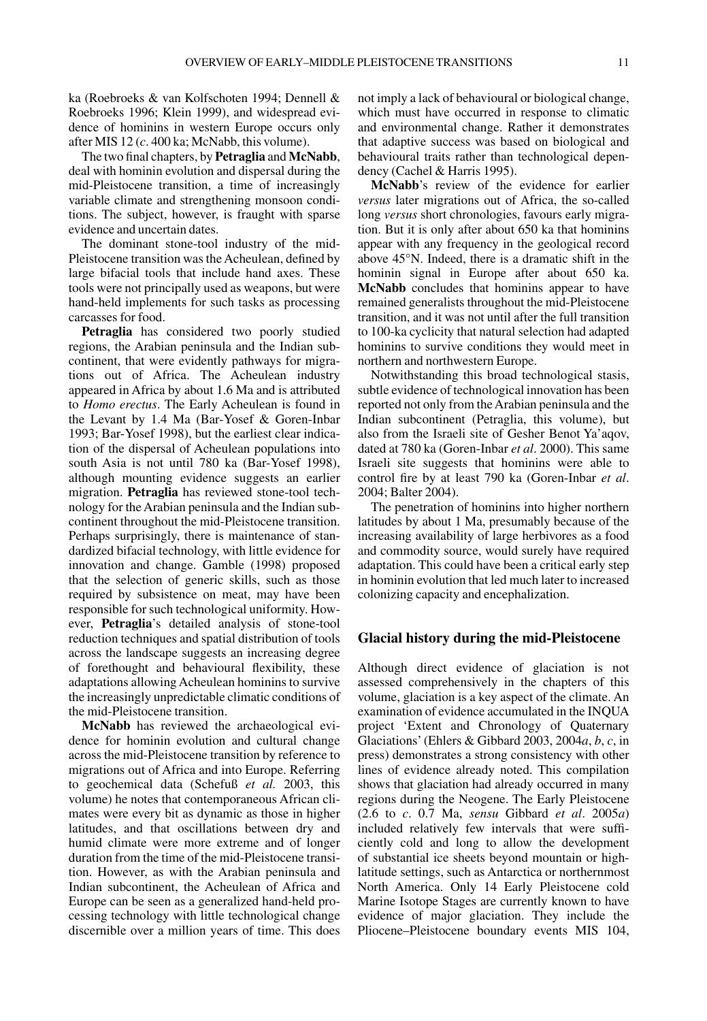ka (Roebroeks & van Kolfschoten 1994; Dennell & Roebroeks 1996; Klein 1999), and widespread evidence of hominins in western Europe occurs only after MIS 12 (*c*. 400 ka; McNabb, this volume).

The two final chapters, by **Petraglia** and **McNabb**, deal with hominin evolution and dispersal during the mid-Pleistocene transition, a time of increasingly variable climate and strengthening monsoon conditions. The subject, however, is fraught with sparse evidence and uncertain dates.

The dominant stone-tool industry of the mid-Pleistocene transition was the Acheulean, defined by large bifacial tools that include hand axes. These tools were not principally used as weapons, but were hand-held implements for such tasks as processing carcasses for food.

**Petraglia** has considered two poorly studied regions, the Arabian peninsula and the Indian subcontinent, that were evidently pathways for migrations out of Africa. The Acheulean industry appeared in Africa by about 1.6 Ma and is attributed to *Homo erectus*. The Early Acheulean is found in the Levant by 1.4 Ma (Bar-Yosef & Goren-Inbar 1993; Bar-Yosef 1998), but the earliest clear indication of the dispersal of Acheulean populations into south Asia is not until 780 ka (Bar-Yosef 1998), although mounting evidence suggests an earlier migration. **Petraglia** has reviewed stone-tool technology for the Arabian peninsula and the Indian subcontinent throughout the mid-Pleistocene transition. Perhaps surprisingly, there is maintenance of standardized bifacial technology, with little evidence for innovation and change. Gamble (1998) proposed that the selection of generic skills, such as those required by subsistence on meat, may have been responsible for such technological uniformity. However, **Petraglia**'s detailed analysis of stone-tool reduction techniques and spatial distribution of tools across the landscape suggests an increasing degree of forethought and behavioural flexibility, these adaptations allowing Acheulean hominins to survive the increasingly unpredictable climatic conditions of the mid-Pleistocene transition.

**McNabb** has reviewed the archaeological evidence for hominin evolution and cultural change across the mid-Pleistocene transition by reference to migrations out of Africa and into Europe. Referring to geochemical data (Schefuß *et al.* 2003, this volume) he notes that contemporaneous African climates were every bit as dynamic as those in higher latitudes, and that oscillations between dry and humid climate were more extreme and of longer duration from the time of the mid-Pleistocene transition. However, as with the Arabian peninsula and Indian subcontinent, the Acheulean of Africa and Europe can be seen as a generalized hand-held processing technology with little technological change discernible over a million years of time. This does not imply a lack of behavioural or biological change, which must have occurred in response to climatic and environmental change. Rather it demonstrates that adaptive success was based on biological and behavioural traits rather than technological dependency (Cachel & Harris 1995).

**McNabb**'s review of the evidence for earlier *versus* later migrations out of Africa, the so-called long *versus* short chronologies, favours early migration. But it is only after about 650 ka that hominins appear with any frequency in the geological record above 45°N. Indeed, there is a dramatic shift in the hominin signal in Europe after about 650 ka. **McNabb** concludes that hominins appear to have remained generalists throughout the mid-Pleistocene transition, and it was not until after the full transition to 100-ka cyclicity that natural selection had adapted hominins to survive conditions they would meet in northern and northwestern Europe.

Notwithstanding this broad technological stasis, subtle evidence of technological innovation has been reported not only from the Arabian peninsula and the Indian subcontinent (Petraglia, this volume), but also from the Israeli site of Gesher Benot Ya'aqov, dated at 780 ka (Goren-Inbar *et al*. 2000). This same Israeli site suggests that hominins were able to control fire by at least 790 ka (Goren-Inbar *et al*. 2004; Balter 2004).

The penetration of hominins into higher northern latitudes by about 1 Ma, presumably because of the increasing availability of large herbivores as a food and commodity source, would surely have required adaptation. This could have been a critical early step in hominin evolution that led much later to increased colonizing capacity and encephalization.

#### **Glacial history during the mid-Pleistocene**

Although direct evidence of glaciation is not assessed comprehensively in the chapters of this volume, glaciation is a key aspect of the climate. An examination of evidence accumulated in the INQUA project 'Extent and Chronology of Quaternary Glaciations' (Ehlers & Gibbard 2003, 2004*a*, *b*, *c*, in press) demonstrates a strong consistency with other lines of evidence already noted. This compilation shows that glaciation had already occurred in many regions during the Neogene. The Early Pleistocene (2.6 to *c*. 0.7 Ma, *sensu* Gibbard *et al*. 2005*a*) included relatively few intervals that were sufficiently cold and long to allow the development of substantial ice sheets beyond mountain or highlatitude settings, such as Antarctica or northernmost North America. Only 14 Early Pleistocene cold Marine Isotope Stages are currently known to have evidence of major glaciation. They include the Pliocene–Pleistocene boundary events MIS 104,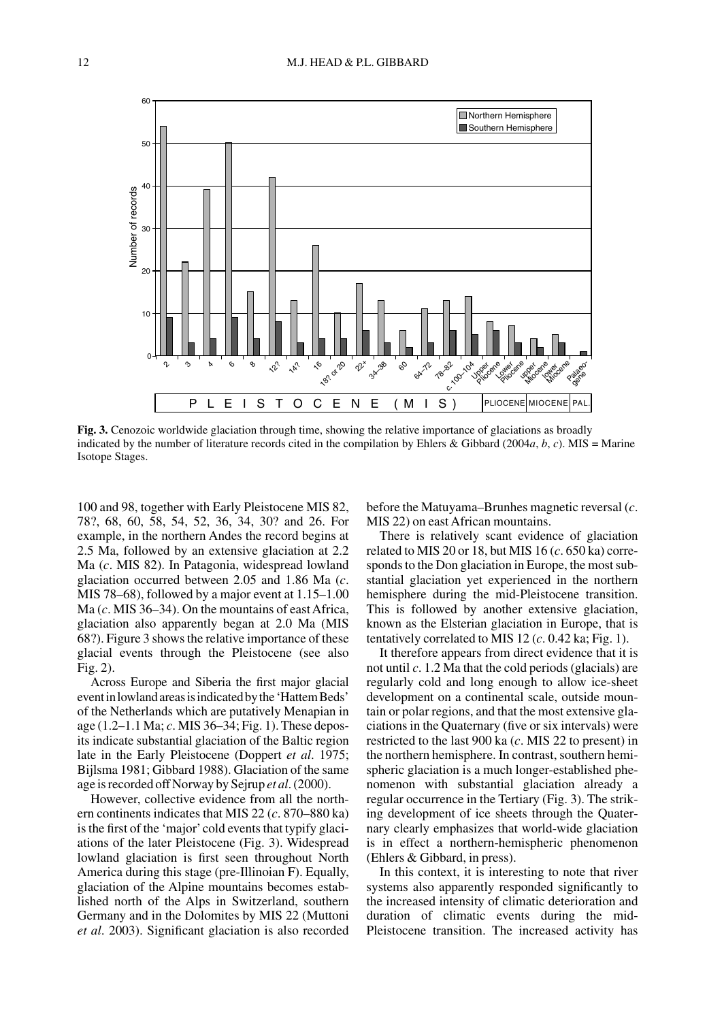

**Fig. 3.** Cenozoic worldwide glaciation through time, showing the relative importance of glaciations as broadly indicated by the number of literature records cited in the compilation by Ehlers & Gibbard (2004*a*, *b*, *c*). MIS = Marine Isotope Stages.

100 and 98, together with Early Pleistocene MIS 82, 78?, 68, 60, 58, 54, 52, 36, 34, 30? and 26. For example, in the northern Andes the record begins at 2.5 Ma, followed by an extensive glaciation at 2.2 Ma (*c*. MIS 82). In Patagonia, widespread lowland glaciation occurred between 2.05 and 1.86 Ma (*c*. MIS 78–68), followed by a major event at 1.15–1.00 Ma (*c*. MIS 36–34). On the mountains of east Africa, glaciation also apparently began at 2.0 Ma (MIS 68?). Figure 3 shows the relative importance of these glacial events through the Pleistocene (see also Fig. 2).

Across Europe and Siberia the first major glacial eventinlowlandareasisindicatedbythe'HattemBeds' of the Netherlands which are putatively Menapian in age (1.2–1.1 Ma; *c*. MIS 36–34; Fig. 1). These deposits indicate substantial glaciation of the Baltic region late in the Early Pleistocene (Doppert *et al*. 1975; Bijlsma 1981; Gibbard 1988). Glaciation of the same age is recorded off Norway by Sejrup *et al*.(2000).

However, collective evidence from all the northern continents indicates that MIS 22 (*c*. 870–880 ka) is the first of the 'major'cold events that typify glaciations of the later Pleistocene (Fig. 3). Widespread lowland glaciation is first seen throughout North America during this stage (pre-Illinoian F). Equally, glaciation of the Alpine mountains becomes established north of the Alps in Switzerland, southern Germany and in the Dolomites by MIS 22 (Muttoni *et al*. 2003). Significant glaciation is also recorded before the Matuyama–Brunhes magnetic reversal (*c*. MIS 22) on east African mountains.

There is relatively scant evidence of glaciation related to MIS 20 or 18, but MIS 16 (*c*. 650 ka) corresponds to the Don glaciation in Europe, the most substantial glaciation yet experienced in the northern hemisphere during the mid-Pleistocene transition. This is followed by another extensive glaciation, known as the Elsterian glaciation in Europe, that is tentatively correlated to MIS 12 (*c*. 0.42 ka; Fig. 1).

It therefore appears from direct evidence that it is not until *c*. 1.2 Ma that the cold periods (glacials) are regularly cold and long enough to allow ice-sheet development on a continental scale, outside mountain or polar regions, and that the most extensive glaciations in the Quaternary (five or six intervals) were restricted to the last 900 ka (*c*. MIS 22 to present) in the northern hemisphere. In contrast, southern hemispheric glaciation is a much longer-established phenomenon with substantial glaciation already a regular occurrence in the Tertiary (Fig. 3). The striking development of ice sheets through the Quaternary clearly emphasizes that world-wide glaciation is in effect a northern-hemispheric phenomenon (Ehlers & Gibbard, in press).

In this context, it is interesting to note that river systems also apparently responded significantly to the increased intensity of climatic deterioration and duration of climatic events during the mid-Pleistocene transition. The increased activity has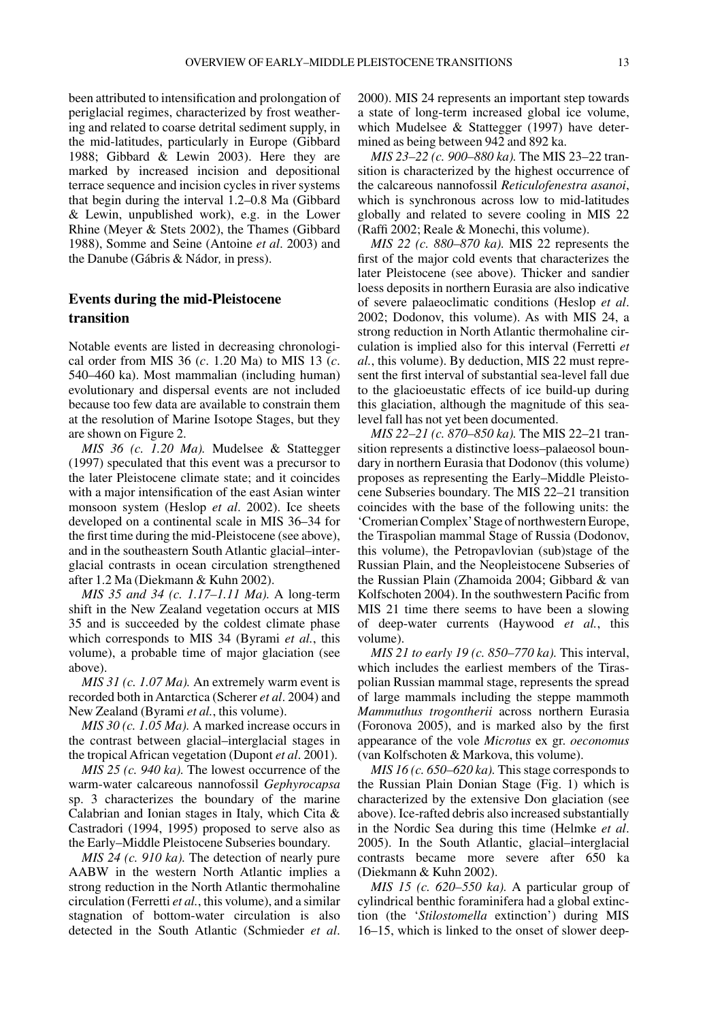been attributed to intensification and prolongation of periglacial regimes, characterized by frost weathering and related to coarse detrital sediment supply, in the mid-latitudes, particularly in Europe (Gibbard 1988; Gibbard & Lewin 2003). Here they are marked by increased incision and depositional terrace sequence and incision cycles in river systems that begin during the interval 1.2–0.8 Ma (Gibbard & Lewin, unpublished work), e.g. in the Lower Rhine (Meyer & Stets 2002), the Thames (Gibbard 1988), Somme and Seine (Antoine *et al*. 2003) and the Danube (Gábris & Nádor*,* in press).

# **Events during the mid-Pleistocene transition**

Notable events are listed in decreasing chronological order from MIS 36 (*c*. 1.20 Ma) to MIS 13 (*c*. 540–460 ka). Most mammalian (including human) evolutionary and dispersal events are not included because too few data are available to constrain them at the resolution of Marine Isotope Stages, but they are shown on Figure 2.

*MIS 36 (c. 1.20 Ma).* Mudelsee & Stattegger (1997) speculated that this event was a precursor to the later Pleistocene climate state; and it coincides with a major intensification of the east Asian winter monsoon system (Heslop *et al*. 2002). Ice sheets developed on a continental scale in MIS 36–34 for the first time during the mid-Pleistocene (see above), and in the southeastern South Atlantic glacial–interglacial contrasts in ocean circulation strengthened after 1.2 Ma (Diekmann & Kuhn 2002).

*MIS 35 and 34 (c. 1.17–1.11 Ma).* A long-term shift in the New Zealand vegetation occurs at MIS 35 and is succeeded by the coldest climate phase which corresponds to MIS 34 (Byrami *et al.*, this volume), a probable time of major glaciation (see above).

*MIS 31 (c. 1.07 Ma).* An extremely warm event is recorded both in Antarctica (Scherer *et al*. 2004) and New Zealand (Byrami *et al.*, this volume).

*MIS 30 (c. 1.05 Ma).* A marked increase occurs in the contrast between glacial–interglacial stages in the tropical African vegetation (Dupont *et al*. 2001).

*MIS 25 (c. 940 ka).* The lowest occurrence of the warm-water calcareous nannofossil *Gephyrocapsa* sp. 3 characterizes the boundary of the marine Calabrian and Ionian stages in Italy, which Cita & Castradori (1994, 1995) proposed to serve also as the Early–Middle Pleistocene Subseries boundary.

*MIS 24 (c. 910 ka).* The detection of nearly pure AABW in the western North Atlantic implies a strong reduction in the North Atlantic thermohaline circulation (Ferretti *et al.*, this volume), and a similar stagnation of bottom-water circulation is also detected in the South Atlantic (Schmieder *et al*. 2000). MIS 24 represents an important step towards a state of long-term increased global ice volume, which Mudelsee & Stattegger (1997) have determined as being between 942 and 892 ka.

*MIS 23–22 (c. 900–880 ka).* The MIS 23–22 transition is characterized by the highest occurrence of the calcareous nannofossil *Reticulofenestra asanoi*, which is synchronous across low to mid-latitudes globally and related to severe cooling in MIS 22 (Raffi 2002; Reale & Monechi, this volume).

*MIS 22 (c. 880–870 ka).* MIS 22 represents the first of the major cold events that characterizes the later Pleistocene (see above). Thicker and sandier loess deposits in northern Eurasia are also indicative of severe palaeoclimatic conditions (Heslop *et al*. 2002; Dodonov, this volume). As with MIS 24, a strong reduction in North Atlantic thermohaline circulation is implied also for this interval (Ferretti *et al.*, this volume). By deduction, MIS 22 must represent the first interval of substantial sea-level fall due to the glacioeustatic effects of ice build-up during this glaciation, although the magnitude of this sealevel fall has not yet been documented.

*MIS 22–21 (c. 870–850 ka).* The MIS 22–21 transition represents a distinctive loess–palaeosol boundary in northern Eurasia that Dodonov (this volume) proposes as representing the Early–Middle Pleistocene Subseries boundary. The MIS 22–21 transition coincides with the base of the following units: the 'Cromerian Complex'Stage of northwestern Europe, the Tiraspolian mammal Stage of Russia (Dodonov, this volume), the Petropavlovian (sub)stage of the Russian Plain, and the Neopleistocene Subseries of the Russian Plain (Zhamoida 2004; Gibbard & van Kolfschoten 2004). In the southwestern Pacific from MIS 21 time there seems to have been a slowing of deep-water currents (Haywood *et al.*, this volume).

*MIS 21 to early 19 (c. 850–770 ka).* This interval, which includes the earliest members of the Tiraspolian Russian mammal stage, represents the spread of large mammals including the steppe mammoth *Mammuthus trogontherii* across northern Eurasia (Foronova 2005), and is marked also by the first appearance of the vole *Microtus* ex gr. *oeconomus* (van Kolfschoten & Markova, this volume).

*MIS 16 (c. 650–620 ka).* This stage corresponds to the Russian Plain Donian Stage (Fig. 1) which is characterized by the extensive Don glaciation (see above). Ice-rafted debris also increased substantially in the Nordic Sea during this time (Helmke *et al*. 2005). In the South Atlantic, glacial–interglacial contrasts became more severe after 650 ka (Diekmann & Kuhn 2002).

*MIS 15 (c. 620–550 ka).* A particular group of cylindrical benthic foraminifera had a global extinction (the '*Stilostomella* extinction') during MIS 16–15, which is linked to the onset of slower deep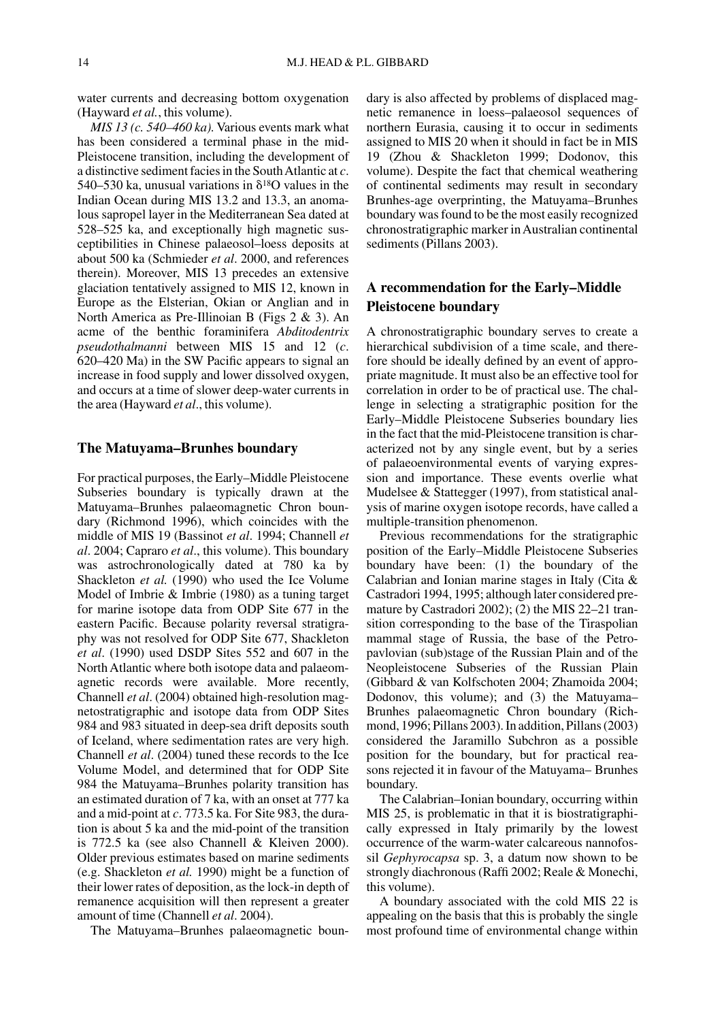water currents and decreasing bottom oxygenation (Hayward *et al.*, this volume).

*MIS 13 (c. 540–460 ka).* Various events mark what has been considered a terminal phase in the mid-Pleistocene transition, including the development of a distinctive sediment facies in the SouthAtlantic at *c*. 540–530 ka, unusual variations in  $\delta^{18}$ O values in the Indian Ocean during MIS 13.2 and 13.3, an anomalous sapropel layer in the Mediterranean Sea dated at 528–525 ka, and exceptionally high magnetic susceptibilities in Chinese palaeosol–loess deposits at about 500 ka (Schmieder *et al*. 2000, and references therein). Moreover, MIS 13 precedes an extensive glaciation tentatively assigned to MIS 12, known in Europe as the Elsterian, Okian or Anglian and in North America as Pre-Illinoian B (Figs 2 & 3). An acme of the benthic foraminifera *Abditodentrix pseudothalmanni* between MIS 15 and 12 (*c*. 620–420 Ma) in the SW Pacific appears to signal an increase in food supply and lower dissolved oxygen, and occurs at a time of slower deep-water currents in the area (Hayward *et al*., this volume).

#### **The Matuyama–Brunhes boundary**

For practical purposes, the Early–Middle Pleistocene Subseries boundary is typically drawn at the Matuyama–Brunhes palaeomagnetic Chron boundary (Richmond 1996), which coincides with the middle of MIS 19 (Bassinot *et al*. 1994; Channell *et al*. 2004; Capraro *et al*., this volume). This boundary was astrochronologically dated at 780 ka by Shackleton *et al.* (1990) who used the Ice Volume Model of Imbrie & Imbrie (1980) as a tuning target for marine isotope data from ODP Site 677 in the eastern Pacific. Because polarity reversal stratigraphy was not resolved for ODP Site 677, Shackleton *et al*. (1990) used DSDP Sites 552 and 607 in the North Atlantic where both isotope data and palaeomagnetic records were available. More recently, Channell *et al*. (2004) obtained high-resolution magnetostratigraphic and isotope data from ODP Sites 984 and 983 situated in deep-sea drift deposits south of Iceland, where sedimentation rates are very high. Channell *et al*. (2004) tuned these records to the Ice Volume Model, and determined that for ODP Site 984 the Matuyama–Brunhes polarity transition has an estimated duration of 7 ka, with an onset at 777 ka and a mid-point at *c*. 773.5 ka. For Site 983, the duration is about 5 ka and the mid-point of the transition is 772.5 ka (see also Channell & Kleiven 2000). Older previous estimates based on marine sediments (e.g. Shackleton *et al.* 1990) might be a function of their lower rates of deposition, as the lock-in depth of remanence acquisition will then represent a greater amount of time (Channell *et al*. 2004).

The Matuyama–Brunhes palaeomagnetic boun-

dary is also affected by problems of displaced magnetic remanence in loess–palaeosol sequences of northern Eurasia, causing it to occur in sediments assigned to MIS 20 when it should in fact be in MIS 19 (Zhou & Shackleton 1999; Dodonov, this volume). Despite the fact that chemical weathering of continental sediments may result in secondary Brunhes-age overprinting, the Matuyama–Brunhes boundary was found to be the most easily recognized chronostratigraphic marker in Australian continental sediments (Pillans 2003).

# **A recommendation for the Early–Middle Pleistocene boundary**

A chronostratigraphic boundary serves to create a hierarchical subdivision of a time scale, and therefore should be ideally defined by an event of appropriate magnitude. It must also be an effective tool for correlation in order to be of practical use. The challenge in selecting a stratigraphic position for the Early–Middle Pleistocene Subseries boundary lies in the fact that the mid-Pleistocene transition is characterized not by any single event, but by a series of palaeoenvironmental events of varying expression and importance. These events overlie what Mudelsee & Stattegger (1997), from statistical analysis of marine oxygen isotope records, have called a multiple-transition phenomenon.

Previous recommendations for the stratigraphic position of the Early–Middle Pleistocene Subseries boundary have been: (1) the boundary of the Calabrian and Ionian marine stages in Italy (Cita & Castradori 1994, 1995; although later considered premature by Castradori 2002); (2) the MIS 22–21 transition corresponding to the base of the Tiraspolian mammal stage of Russia, the base of the Petropavlovian (sub)stage of the Russian Plain and of the Neopleistocene Subseries of the Russian Plain (Gibbard & van Kolfschoten 2004; Zhamoida 2004; Dodonov, this volume); and (3) the Matuyama– Brunhes palaeomagnetic Chron boundary (Richmond, 1996; Pillans 2003). In addition, Pillans (2003) considered the Jaramillo Subchron as a possible position for the boundary, but for practical reasons rejected it in favour of the Matuyama– Brunhes boundary.

The Calabrian–Ionian boundary, occurring within MIS 25, is problematic in that it is biostratigraphically expressed in Italy primarily by the lowest occurrence of the warm-water calcareous nannofossil *Gephyrocapsa* sp. 3, a datum now shown to be strongly diachronous (Raffi 2002; Reale & Monechi, this volume).

A boundary associated with the cold MIS 22 is appealing on the basis that this is probably the single most profound time of environmental change within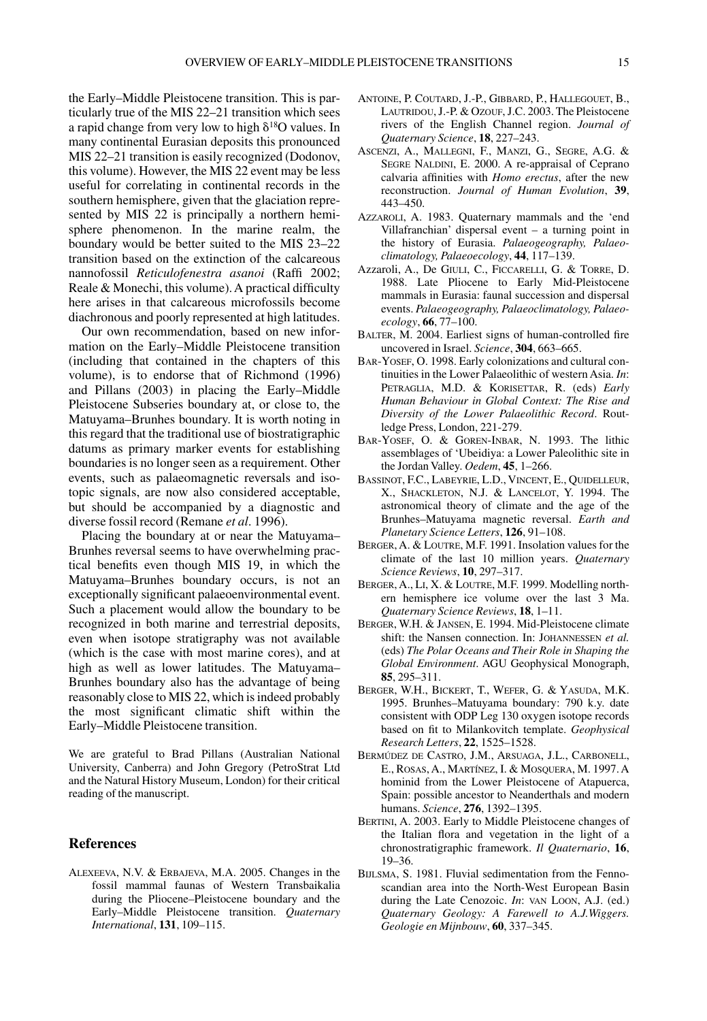the Early–Middle Pleistocene transition. This is particularly true of the MIS 22–21 transition which sees a rapid change from very low to high  $\delta^{18}$ O values. In many continental Eurasian deposits this pronounced MIS 22–21 transition is easily recognized (Dodonov, this volume). However, the MIS 22 event may be less useful for correlating in continental records in the southern hemisphere, given that the glaciation represented by MIS 22 is principally a northern hemisphere phenomenon. In the marine realm, the boundary would be better suited to the MIS 23–22 transition based on the extinction of the calcareous nannofossil *Reticulofenestra asanoi* (Raffi 2002; Reale & Monechi, this volume). A practical difficulty here arises in that calcareous microfossils become diachronous and poorly represented at high latitudes.

Our own recommendation, based on new information on the Early–Middle Pleistocene transition (including that contained in the chapters of this volume), is to endorse that of Richmond (1996) and Pillans (2003) in placing the Early–Middle Pleistocene Subseries boundary at, or close to, the Matuyama–Brunhes boundary. It is worth noting in this regard that the traditional use of biostratigraphic datums as primary marker events for establishing boundaries is no longer seen as a requirement. Other events, such as palaeomagnetic reversals and isotopic signals, are now also considered acceptable, but should be accompanied by a diagnostic and diverse fossil record (Remane *et al*. 1996).

Placing the boundary at or near the Matuyama– Brunhes reversal seems to have overwhelming practical benefits even though MIS 19, in which the Matuyama–Brunhes boundary occurs, is not an exceptionally significant palaeoenvironmental event. Such a placement would allow the boundary to be recognized in both marine and terrestrial deposits, even when isotope stratigraphy was not available (which is the case with most marine cores), and at high as well as lower latitudes. The Matuyama– Brunhes boundary also has the advantage of being reasonably close to MIS 22, which is indeed probably the most significant climatic shift within the Early–Middle Pleistocene transition.

We are grateful to Brad Pillans (Australian National University, Canberra) and John Gregory (PetroStrat Ltd and the Natural History Museum, London) for their critical reading of the manuscript.

## **References**

ALEXEEVA, N.V. & ERBAJEVA, M.A. 2005. Changes in the fossil mammal faunas of Western Transbaikalia during the Pliocene–Pleistocene boundary and the Early–Middle Pleistocene transition. *Quaternary International*, **131**, 109–115.

- ANTOINE, P. COUTARD, J.-P., GIBBARD, P., HALLEGOUET, B., LAUTRIDOU, J.-P. & OZOUF, J.C. 2003. The Pleistocene rivers of the English Channel region. *Journal of Quaternary Science*, **18**, 227–243.
- ASCENZI, A., MALLEGNI, F., MANZI, G., SEGRE, A.G. & SEGRE NALDINI, E. 2000. A re-appraisal of Ceprano calvaria affinities with *Homo erectus*, after the new reconstruction. *Journal of Human Evolution*, **39**, 443–450.
- AZZAROLI, A. 1983. Quaternary mammals and the 'end Villafranchian' dispersal event – a turning point in the history of Eurasia. *Palaeogeography, Palaeoclimatology, Palaeoecology*, **44**, 117–139.
- Azzaroli, A., De GIULI, C., FICCARELLI, G. & TORRE, D. 1988. Late Pliocene to Early Mid-Pleistocene mammals in Eurasia: faunal succession and dispersal events. *Palaeogeography, Palaeoclimatology, Palaeoecology*, **66**, 77–100.
- BALTER, M. 2004. Earliest signs of human-controlled fire uncovered in Israel. *Science*, **304**, 663–665.
- BAR-YOSEF, O. 1998. Early colonizations and cultural continuities in the Lower Palaeolithic of western Asia. *In*: PETRAGLIA, M.D. & KORISETTAR, R. (eds) *Early Human Behaviour in Global Context: The Rise and Diversity of the Lower Palaeolithic Record*. Routledge Press, London, 221-279.
- BAR-YOSEF, O. & GOREN-INBAR, N. 1993. The lithic assemblages of 'Ubeidiya: a Lower Paleolithic site in the Jordan Valley. *Oedem*, **45**, 1–266.
- BASSINOT, F.C., LABEYRIE, L.D., VINCENT, E., QUIDELLEUR, X., SHACKLETON, N.J. & LANCELOT, Y. 1994. The astronomical theory of climate and the age of the Brunhes–Matuyama magnetic reversal. *Earth and Planetary Science Letters*, **126**, 91–108.
- BERGER,A. & LOUTRE, M.F. 1991. Insolation values for the climate of the last 10 million years. *Quaternary Science Reviews*, **10**, 297–317.
- BERGER, A., LI, X. & LOUTRE, M.F. 1999. Modelling northern hemisphere ice volume over the last 3 Ma. *Quaternary Science Reviews*, **18**, 1–11.
- BERGER, W.H. & JANSEN, E. 1994. Mid-Pleistocene climate shift: the Nansen connection. In: JOHANNESSEN *et al.* (eds) *The Polar Oceans and Their Role in Shaping the Global Environment*. AGU Geophysical Monograph, **85**, 295–311.
- BERGER, W.H., BICKERT, T., WEFER, G. & YASUDA, M.K. 1995. Brunhes–Matuyama boundary: 790 k.y. date consistent with ODP Leg 130 oxygen isotope records based on fit to Milankovitch template. *Geophysical Research Letters*, **22**, 1525–1528.
- BERMÚDEZ DE CASTRO, J.M., ARSUAGA, J.L., CARBONELL, E., ROSAS, A., MARTÍNEZ, I. & MOSQUERA, M. 1997. A hominid from the Lower Pleistocene of Atapuerca, Spain: possible ancestor to Neanderthals and modern humans. *Science*, **276**, 1392–1395.
- BERTINI, A. 2003. Early to Middle Pleistocene changes of the Italian flora and vegetation in the light of a chronostratigraphic framework. *Il Quaternario*, **16**, 19–36.
- BIJLSMA, S. 1981. Fluvial sedimentation from the Fennoscandian area into the North-West European Basin during the Late Cenozoic. *In*: VAN LOON, A.J. (ed.) *Quaternary Geology: A Farewell to A.J.Wiggers. Geologie en Mijnbouw*, **60**, 337–345.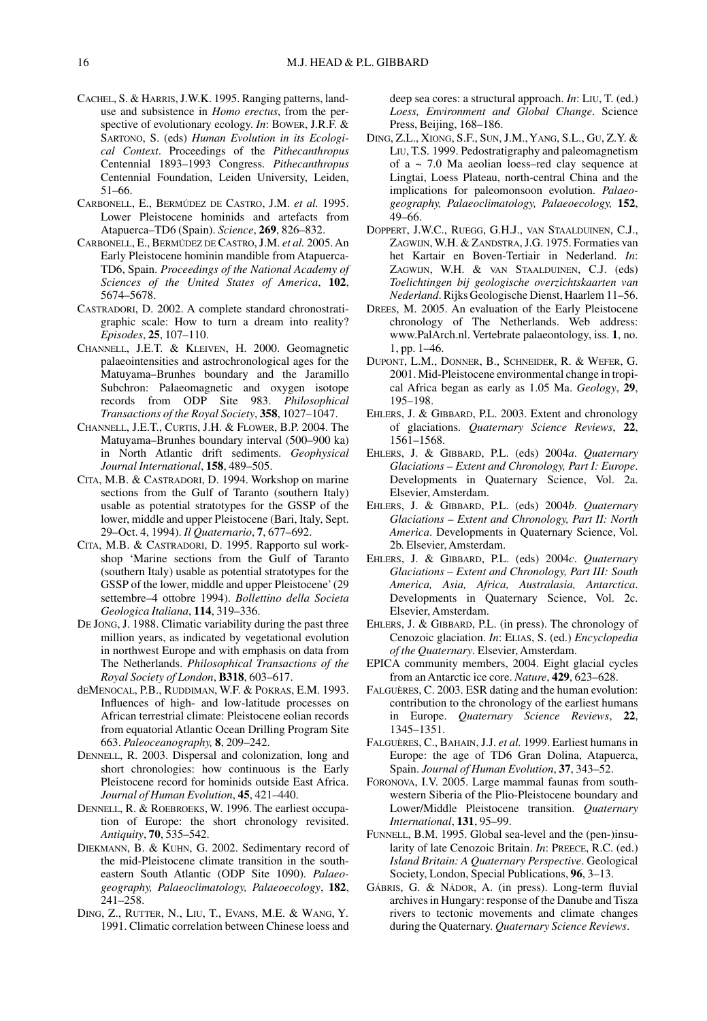- CACHEL, S. & HARRIS,J.W.K. 1995. Ranging patterns, landuse and subsistence in *Homo erectus*, from the perspective of evolutionary ecology. *In*: BOWER, J.R.F. & SARTONO, S. (eds) *Human Evolution in its Ecological Context*. Proceedings of the *Pithecanthropus* Centennial 1893–1993 Congress. *Pithecanthropus* Centennial Foundation, Leiden University, Leiden, 51–66.
- CARBONELL, E., BERMÚDEZ DE CASTRO, J.M. *et al.* 1995. Lower Pleistocene hominids and artefacts from Atapuerca–TD6 (Spain). *Science*, **269**, 826–832.
- CARBONELL, E., BERMÚDEZ DE CASTRO, J.M. *et al.* 2005. An Early Pleistocene hominin mandible from Atapuerca-TD6, Spain. *Proceedings of the National Academy of Sciences of the United States of America*, **102**, 5674–5678.
- CASTRADORI, D. 2002. A complete standard chronostratigraphic scale: How to turn a dream into reality? *Episodes*, **25**, 107–110.
- CHANNELL, J.E.T. & KLEIVEN, H. 2000. Geomagnetic palaeointensities and astrochronological ages for the Matuyama–Brunhes boundary and the Jaramillo Subchron: Palaeomagnetic and oxygen isotope records from ODP Site 983. *Philosophical Transactions of the Royal Society*, **358**, 1027–1047.
- CHANNELL, J.E.T., CURTIS, J.H. & FLOWER, B.P. 2004. The Matuyama–Brunhes boundary interval (500–900 ka) in North Atlantic drift sediments. *Geophysical Journal International*, **158**, 489–505.
- CITA, M.B. & CASTRADORI, D. 1994. Workshop on marine sections from the Gulf of Taranto (southern Italy) usable as potential stratotypes for the GSSP of the lower, middle and upper Pleistocene (Bari, Italy, Sept. 29–Oct. 4, 1994). *Il Quaternario*, **7**, 677–692.
- CITA, M.B. & CASTRADORI, D. 1995. Rapporto sul workshop 'Marine sections from the Gulf of Taranto (southern Italy) usable as potential stratotypes for the GSSP of the lower, middle and upper Pleistocene' (29 settembre–4 ottobre 1994). *Bollettino della Societa Geologica Italiana*, **114**, 319–336.
- DE JONG, J. 1988. Climatic variability during the past three million years, as indicated by vegetational evolution in northwest Europe and with emphasis on data from The Netherlands. *Philosophical Transactions of the Royal Society of London*, **B318**, 603–617.
- dEMENOCAL, P.B., RUDDIMAN, W.F. & POKRAS, E.M. 1993. Influences of high- and low-latitude processes on African terrestrial climate: Pleistocene eolian records from equatorial Atlantic Ocean Drilling Program Site 663. *Paleoceanography,* **8**, 209–242.
- DENNELL, R. 2003. Dispersal and colonization, long and short chronologies: how continuous is the Early Pleistocene record for hominids outside East Africa. *Journal of Human Evolution*, **45**, 421–440.
- DENNELL, R. & ROEBROEKS, W. 1996. The earliest occupation of Europe: the short chronology revisited. *Antiquity*, **70**, 535–542.
- DIEKMANN, B. & KUHN, G. 2002. Sedimentary record of the mid-Pleistocene climate transition in the southeastern South Atlantic (ODP Site 1090). *Palaeogeography, Palaeoclimatology, Palaeoecology*, **182**, 241–258.
- DING, Z., RUTTER, N., LIU, T., EVANS, M.E. & WANG, Y*.* 1991. Climatic correlation between Chinese loess and

deep sea cores: a structural approach. *In*: LIU, T. (ed.) *Loess, Environment and Global Change*. Science Press, Beijing, 168–186.

- DING, Z.L., XIONG, S.F., SUN, J.M.,YANG, S.L., GU, Z.Y. & LIU, T.S*.* 1999. Pedostratigraphy and paleomagnetism of a  $\sim$  7.0 Ma aeolian loess–red clay sequence at Lingtai, Loess Plateau, north-central China and the implications for paleomonsoon evolution. *Palaeogeography, Palaeoclimatology, Palaeoecology,* **152**, 49–66.
- DOPPERT, J.W.C., RUEGG, G.H.J., VAN STAALDUINEN, C.J., ZAGWIJN, W.H.&ZANDSTRA, J.G. 1975. Formaties van het Kartair en Boven-Tertiair in Nederland. *In*: ZAGWIJN, W.H. & VAN STAALDUINEN, C.J. (eds) *Toelichtingen bij geologische overzichtskaarten van Nederland*.Rijks Geologische Dienst, Haarlem 11–56.
- DREES, M. 2005. An evaluation of the Early Pleistocene chronology of The Netherlands. Web address: www.PalArch.nl. Vertebrate palaeontology, iss. **1**, no. 1, pp. 1–46.
- DUPONT, L.M., DONNER, B., SCHNEIDER, R. & WEFER, G. 2001. Mid-Pleistocene environmental change in tropical Africa began as early as 1.05 Ma. *Geology*, **29**, 195–198.
- EHLERS, J. & GIBBARD, P.L. 2003. Extent and chronology of glaciations. *Quaternary Science Reviews*, **22**, 1561–1568.
- EHLERS, J. & GIBBARD, P.L. (eds) 2004*a*. *Quaternary Glaciations – Extent and Chronology, Part I: Europe*. Developments in Quaternary Science, Vol. 2a. Elsevier, Amsterdam.
- EHLERS, J. & GIBBARD, P.L. (eds) 2004*b*. *Quaternary Glaciations – Extent and Chronology, Part II: North America*. Developments in Quaternary Science, Vol. 2b. Elsevier, Amsterdam.
- EHLERS, J. & GIBBARD, P.L. (eds) 2004*c*. *Quaternary Glaciations – Extent and Chronology, Part III: South America, Asia, Africa, Australasia, Antarctica*. Developments in Quaternary Science, Vol. 2c. Elsevier, Amsterdam.
- EHLERS, J. & GIBBARD, P.L. (in press). The chronology of Cenozoic glaciation. *In*: ELIAS, S. (ed.) *Encyclopedia of the Quaternary*. Elsevier, Amsterdam.
- EPICA community members, 2004. Eight glacial cycles from an Antarctic ice core. *Nature*, **429**, 623–628.
- FALGUÈRES, C. 2003. ESR dating and the human evolution: contribution to the chronology of the earliest humans in Europe. *Quaternary Science Reviews*, **22**, 1345–1351.
- FALGUÈRES, C., BAHAIN, J.J. *et al.* 1999. Earliest humans in Europe: the age of TD6 Gran Dolina, Atapuerca, Spain. *Journal of Human Evolution*, **37**, 343–52.
- FORONOVA, I.V. 2005. Large mammal faunas from southwestern Siberia of the Plio-Pleistocene boundary and Lower/Middle Pleistocene transition. *Quaternary International*, **131**, 95–99.
- FUNNELL, B.M. 1995. Global sea-level and the (pen-)insularity of late Cenozoic Britain. *In*: PREECE, R.C. (ed.) *Island Britain: A Quaternary Perspective*. Geological Society, London, Special Publications, **96**, 3–13.
- GÁBRIS, G. & NÁDOR, A. (in press). Long-term fluvial archives in Hungary: response of the Danube and Tisza rivers to tectonic movements and climate changes during the Quaternary. *Quaternary Science Reviews*.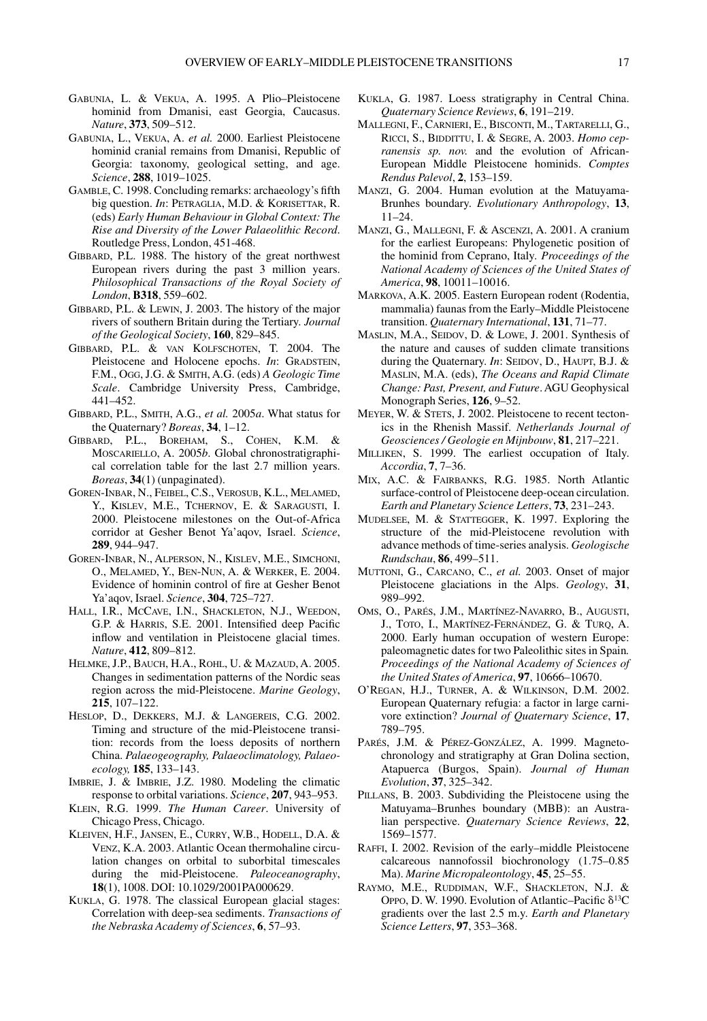- GABUNIA, L. & VEKUA, A. 1995. A Plio–Pleistocene hominid from Dmanisi, east Georgia, Caucasus. *Nature*, **373**, 509–512.
- GABUNIA, L., VEKUA, A. *et al.* 2000. Earliest Pleistocene hominid cranial remains from Dmanisi, Republic of Georgia: taxonomy, geological setting, and age. *Science*, **288**, 1019–1025.
- GAMBLE, C. 1998. Concluding remarks: archaeology's fifth big question. *In*: PETRAGLIA, M.D. & KORISETTAR, R. (eds) *Early Human Behaviour in Global Context: The Rise and Diversity of the Lower Palaeolithic Record*. Routledge Press, London, 451-468.
- GIBBARD, P.L. 1988. The history of the great northwest European rivers during the past 3 million years. *Philosophical Transactions of the Royal Society of London*, **B318**, 559–602.
- GIBBARD, P.L. & LEWIN, J. 2003. The history of the major rivers of southern Britain during the Tertiary. *Journal of the Geological Society*, **160**, 829–845.
- GIBBARD, P.L. & VAN KOLFSCHOTEN, T. 2004. The Pleistocene and Holocene epochs. *In*: GRADSTEIN, F.M., OGG, J.G. & SMITH, A.G. (eds) *A Geologic Time Scale*. Cambridge University Press, Cambridge, 441–452.
- GIBBARD, P.L., SMITH, A.G., *et al.* 2005*a*. What status for the Quaternary? *Boreas*, **34**, 1–12.
- GIBBARD, P.L., BOREHAM, S., COHEN, K.M. & MOSCARIELLO, A. 2005*b*. Global chronostratigraphical correlation table for the last 2.7 million years. *Boreas*, **34**(1) (unpaginated).
- GOREN-INBAR, N., FEIBEL, C.S., VEROSUB, K.L., MELAMED, Y., KISLEV, M.E., TCHERNOV, E. & SARAGUSTI, I. 2000. Pleistocene milestones on the Out-of-Africa corridor at Gesher Benot Ya'aqov, Israel. *Science*, **289**, 944–947.
- GOREN-INBAR, N., ALPERSON, N., KISLEV, M.E., SIMCHONI, O., MELAMED, Y., BEN-NUN, A. & WERKER, E. 2004. Evidence of hominin control of fire at Gesher Benot Ya'aqov, Israel. *Science*, **304**, 725–727.
- HALL, I.R., MCCAVE, I.N., SHACKLETON, N.J., WEEDON, G.P. & HARRIS, S.E. 2001. Intensified deep Pacific inflow and ventilation in Pleistocene glacial times. *Nature*, **412**, 809–812.
- HELMKE, J.P., BAUCH, H.A., ROHL, U. & MAZAUD, A. 2005. Changes in sedimentation patterns of the Nordic seas region across the mid-Pleistocene. *Marine Geology*, **215**, 107–122.
- HESLOP, D., DEKKERS, M.J. & LANGEREIS, C.G. 2002. Timing and structure of the mid-Pleistocene transition: records from the loess deposits of northern China. *Palaeogeography, Palaeoclimatology, Palaeoecology,* **185**, 133–143.
- IMBRIE, J. & IMBRIE, J.Z. 1980. Modeling the climatic response to orbital variations. *Science*, **207**, 943–953.
- KLEIN, R.G. 1999. *The Human Career*. University of Chicago Press, Chicago.
- KLEIVEN, H.F., JANSEN, E., CURRY, W.B., HODELL, D.A. & VENZ, K.A. 2003. Atlantic Ocean thermohaline circulation changes on orbital to suborbital timescales during the mid-Pleistocene. *Paleoceanography*, **18**(1), 1008. DOI: 10.1029/2001PA000629.
- KUKLA, G. 1978. The classical European glacial stages: Correlation with deep-sea sediments. *Transactions of the Nebraska Academy of Sciences*, **6**, 57–93.
- KUKLA, G. 1987. Loess stratigraphy in Central China. *Quaternary Science Reviews*, **6**, 191–219.
- MALLEGNI, F., CARNIERI, E., BISCONTI, M., TARTARELLI, G., RICCI, S., BIDDITTU, I. & SEGRE, A. 2003. *Homo cepranensis sp. nov.* and the evolution of African-European Middle Pleistocene hominids. *Comptes Rendus Palevol*, **2**, 153–159.
- MANZI, G. 2004. Human evolution at the Matuyama-Brunhes boundary. *Evolutionary Anthropology*, **13**, 11–24.
- MANZI, G., MALLEGNI, F. & ASCENZI, A. 2001. A cranium for the earliest Europeans: Phylogenetic position of the hominid from Ceprano, Italy*. Proceedings of the National Academy of Sciences of the United States of America*, **98**, 10011–10016.
- MARKOVA, A.K. 2005. Eastern European rodent (Rodentia, mammalia) faunas from the Early–Middle Pleistocene transition. *Quaternary International*, **131**, 71–77.
- MASLIN, M.A., SEIDOV, D. & LOWE, J. 2001. Synthesis of the nature and causes of sudden climate transitions during the Quaternary. *In*: SEIDOV, D., HAUPT, B.J. & MASLIN, M.A. (eds), *The Oceans and Rapid Climate Change: Past, Present, and Future*. AGU Geophysical Monograph Series, **126**, 9–52.
- MEYER, W. & STETS, J. 2002. Pleistocene to recent tectonics in the Rhenish Massif. *Netherlands Journal of Geosciences / Geologie en Mijnbouw*, **81**, 217–221.
- MILLIKEN, S. 1999. The earliest occupation of Italy. *Accordia*, **7**, 7–36.
- MIX, A.C. & FAIRBANKS, R.G. 1985. North Atlantic surface-control of Pleistocene deep-ocean circulation. *Earth and Planetary Science Letters*, **73**, 231–243.
- MUDELSEE, M. & STATTEGGER, K. 1997. Exploring the structure of the mid-Pleistocene revolution with advance methods of time-series analysis. *Geologische Rundschau*, **86**, 499–511.
- MUTTONI, G., CARCANO, C., *et al.* 2003. Onset of major Pleistocene glaciations in the Alps. *Geology*, **31**, 989–992.
- OMS, O., PARÉS, J.M., MARTÍNEZ-NAVARRO, B., AUGUSTI, J., TOTO, I., MARTÍNEZ-FERNÁNDEZ, G. & TURQ, A. 2000. Early human occupation of western Europe: paleomagnetic dates for two Paleolithic sites in Spain*. Proceedings of the National Academy of Sciences of the United States of America*, **97**, 10666–10670.
- O'REGAN, H.J., TURNER, A. & WILKINSON, D.M. 2002. European Quaternary refugia: a factor in large carnivore extinction? *Journal of Quaternary Science*, **17**, 789–795.
- PARÉS, J.M. & PÉREZ-GONZÁLEZ, A. 1999. Magnetochronology and stratigraphy at Gran Dolina section, Atapuerca (Burgos, Spain). *Journal of Human Evolution*, **37**, 325–342.
- PILLANS, B. 2003. Subdividing the Pleistocene using the Matuyama–Brunhes boundary (MBB): an Australian perspective. *Quaternary Science Reviews*, **22**, 1569–1577.
- RAFFI, I. 2002. Revision of the early–middle Pleistocene calcareous nannofossil biochronology (1.75–0.85 Ma). *Marine Micropaleontology*, **45**, 25–55.
- RAYMO, M.E., RUDDIMAN, W.F., SHACKLETON, N.J. & OPPO, D. W. 1990. Evolution of Atlantic–Pacific  $\delta^{13}C$ gradients over the last 2.5 m.y. *Earth and Planetary Science Letters*, **97**, 353–368.